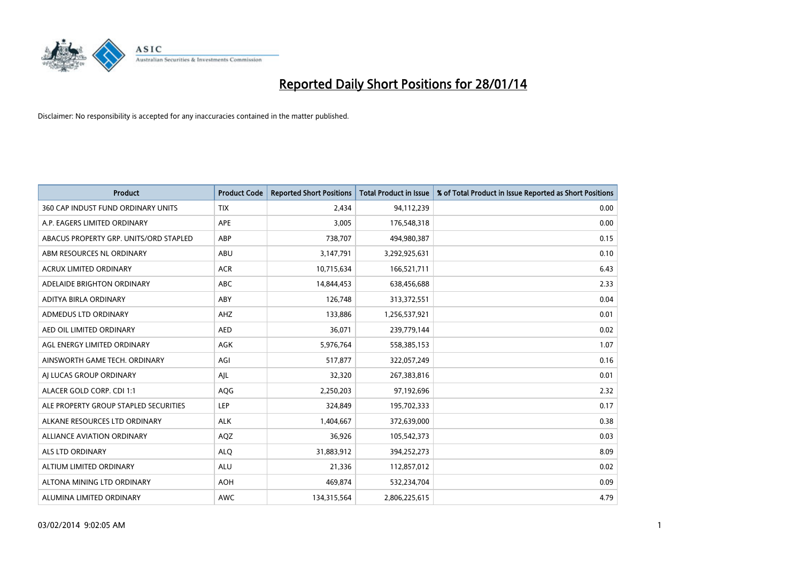

| <b>Product</b>                         | <b>Product Code</b> | <b>Reported Short Positions</b> | <b>Total Product in Issue</b> | % of Total Product in Issue Reported as Short Positions |
|----------------------------------------|---------------------|---------------------------------|-------------------------------|---------------------------------------------------------|
| 360 CAP INDUST FUND ORDINARY UNITS     | <b>TIX</b>          | 2,434                           | 94,112,239                    | 0.00                                                    |
| A.P. EAGERS LIMITED ORDINARY           | APE                 | 3,005                           | 176,548,318                   | 0.00                                                    |
| ABACUS PROPERTY GRP. UNITS/ORD STAPLED | ABP                 | 738,707                         | 494,980,387                   | 0.15                                                    |
| ABM RESOURCES NL ORDINARY              | ABU                 | 3,147,791                       | 3,292,925,631                 | 0.10                                                    |
| <b>ACRUX LIMITED ORDINARY</b>          | <b>ACR</b>          | 10,715,634                      | 166,521,711                   | 6.43                                                    |
| ADELAIDE BRIGHTON ORDINARY             | <b>ABC</b>          | 14,844,453                      | 638,456,688                   | 2.33                                                    |
| ADITYA BIRLA ORDINARY                  | ABY                 | 126,748                         | 313,372,551                   | 0.04                                                    |
| ADMEDUS LTD ORDINARY                   | AHZ                 | 133,886                         | 1,256,537,921                 | 0.01                                                    |
| AED OIL LIMITED ORDINARY               | <b>AED</b>          | 36,071                          | 239,779,144                   | 0.02                                                    |
| AGL ENERGY LIMITED ORDINARY            | <b>AGK</b>          | 5,976,764                       | 558,385,153                   | 1.07                                                    |
| AINSWORTH GAME TECH. ORDINARY          | AGI                 | 517,877                         | 322,057,249                   | 0.16                                                    |
| AI LUCAS GROUP ORDINARY                | AJL                 | 32,320                          | 267,383,816                   | 0.01                                                    |
| ALACER GOLD CORP. CDI 1:1              | AQG                 | 2,250,203                       | 97,192,696                    | 2.32                                                    |
| ALE PROPERTY GROUP STAPLED SECURITIES  | <b>LEP</b>          | 324,849                         | 195,702,333                   | 0.17                                                    |
| ALKANE RESOURCES LTD ORDINARY          | <b>ALK</b>          | 1,404,667                       | 372,639,000                   | 0.38                                                    |
| ALLIANCE AVIATION ORDINARY             | AQZ                 | 36,926                          | 105,542,373                   | 0.03                                                    |
| <b>ALS LTD ORDINARY</b>                | <b>ALQ</b>          | 31,883,912                      | 394,252,273                   | 8.09                                                    |
| ALTIUM LIMITED ORDINARY                | ALU                 | 21,336                          | 112,857,012                   | 0.02                                                    |
| ALTONA MINING LTD ORDINARY             | <b>AOH</b>          | 469,874                         | 532,234,704                   | 0.09                                                    |
| ALUMINA LIMITED ORDINARY               | <b>AWC</b>          | 134,315,564                     | 2,806,225,615                 | 4.79                                                    |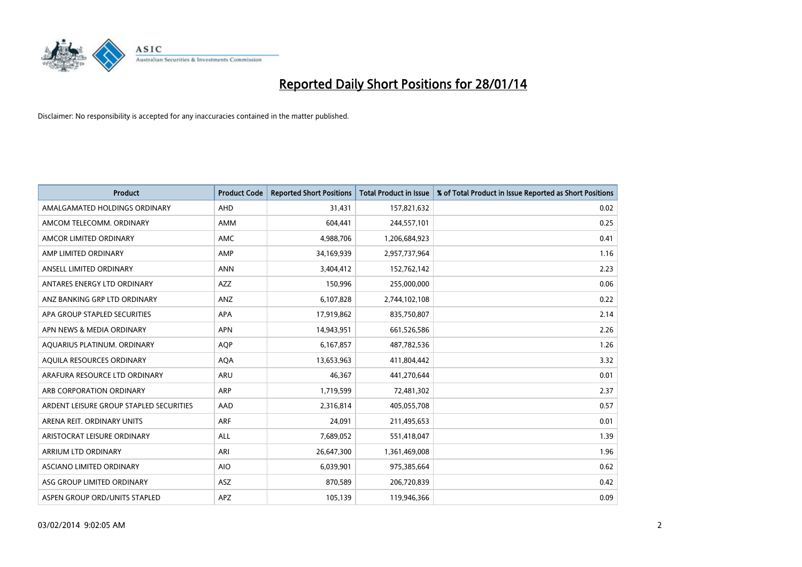

| <b>Product</b>                          | <b>Product Code</b> | <b>Reported Short Positions</b> | <b>Total Product in Issue</b> | % of Total Product in Issue Reported as Short Positions |
|-----------------------------------------|---------------------|---------------------------------|-------------------------------|---------------------------------------------------------|
| AMALGAMATED HOLDINGS ORDINARY           | <b>AHD</b>          | 31,431                          | 157,821,632                   | 0.02                                                    |
| AMCOM TELECOMM, ORDINARY                | AMM                 | 604,441                         | 244,557,101                   | 0.25                                                    |
| AMCOR LIMITED ORDINARY                  | AMC                 | 4,988,706                       | 1,206,684,923                 | 0.41                                                    |
| AMP LIMITED ORDINARY                    | AMP                 | 34,169,939                      | 2,957,737,964                 | 1.16                                                    |
| ANSELL LIMITED ORDINARY                 | <b>ANN</b>          | 3,404,412                       | 152,762,142                   | 2.23                                                    |
| ANTARES ENERGY LTD ORDINARY             | <b>AZZ</b>          | 150,996                         | 255,000,000                   | 0.06                                                    |
| ANZ BANKING GRP LTD ORDINARY            | ANZ                 | 6,107,828                       | 2,744,102,108                 | 0.22                                                    |
| APA GROUP STAPLED SECURITIES            | <b>APA</b>          | 17,919,862                      | 835,750,807                   | 2.14                                                    |
| APN NEWS & MEDIA ORDINARY               | <b>APN</b>          | 14,943,951                      | 661,526,586                   | 2.26                                                    |
| AOUARIUS PLATINUM. ORDINARY             | <b>AOP</b>          | 6,167,857                       | 487,782,536                   | 1.26                                                    |
| AQUILA RESOURCES ORDINARY               | <b>AQA</b>          | 13,653,963                      | 411,804,442                   | 3.32                                                    |
| ARAFURA RESOURCE LTD ORDINARY           | ARU                 | 46,367                          | 441,270,644                   | 0.01                                                    |
| ARB CORPORATION ORDINARY                | <b>ARP</b>          | 1,719,599                       | 72,481,302                    | 2.37                                                    |
| ARDENT LEISURE GROUP STAPLED SECURITIES | AAD                 | 2,316,814                       | 405,055,708                   | 0.57                                                    |
| ARENA REIT. ORDINARY UNITS              | <b>ARF</b>          | 24,091                          | 211,495,653                   | 0.01                                                    |
| ARISTOCRAT LEISURE ORDINARY             | ALL                 | 7,689,052                       | 551,418,047                   | 1.39                                                    |
| ARRIUM LTD ORDINARY                     | ARI                 | 26,647,300                      | 1,361,469,008                 | 1.96                                                    |
| ASCIANO LIMITED ORDINARY                | <b>AIO</b>          | 6,039,901                       | 975,385,664                   | 0.62                                                    |
| ASG GROUP LIMITED ORDINARY              | <b>ASZ</b>          | 870,589                         | 206,720,839                   | 0.42                                                    |
| ASPEN GROUP ORD/UNITS STAPLED           | APZ                 | 105,139                         | 119,946,366                   | 0.09                                                    |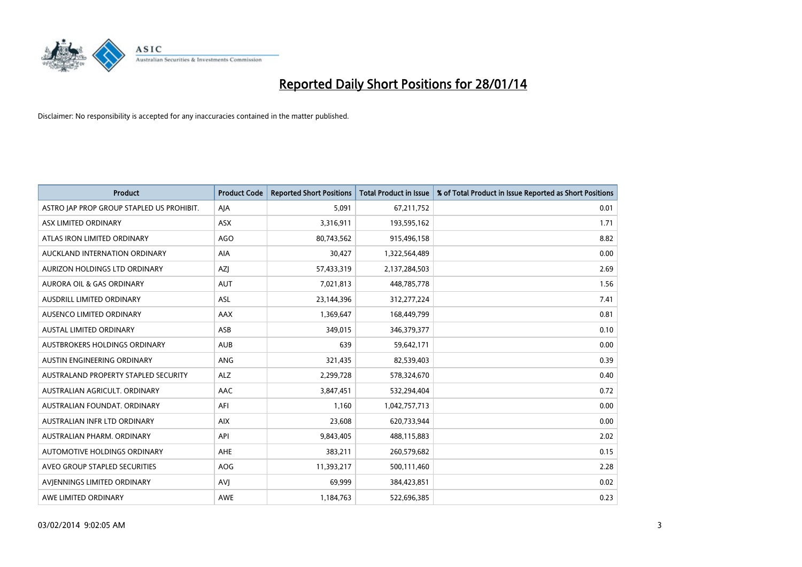

| <b>Product</b>                            | <b>Product Code</b> | <b>Reported Short Positions</b> | <b>Total Product in Issue</b> | % of Total Product in Issue Reported as Short Positions |
|-------------------------------------------|---------------------|---------------------------------|-------------------------------|---------------------------------------------------------|
| ASTRO JAP PROP GROUP STAPLED US PROHIBIT. | AJA                 | 5,091                           | 67,211,752                    | 0.01                                                    |
| ASX LIMITED ORDINARY                      | ASX                 | 3,316,911                       | 193,595,162                   | 1.71                                                    |
| ATLAS IRON LIMITED ORDINARY               | <b>AGO</b>          | 80,743,562                      | 915,496,158                   | 8.82                                                    |
| AUCKLAND INTERNATION ORDINARY             | AIA                 | 30,427                          | 1,322,564,489                 | 0.00                                                    |
| AURIZON HOLDINGS LTD ORDINARY             | <b>AZI</b>          | 57,433,319                      | 2,137,284,503                 | 2.69                                                    |
| <b>AURORA OIL &amp; GAS ORDINARY</b>      | <b>AUT</b>          | 7,021,813                       | 448,785,778                   | 1.56                                                    |
| AUSDRILL LIMITED ORDINARY                 | <b>ASL</b>          | 23,144,396                      | 312,277,224                   | 7.41                                                    |
| AUSENCO LIMITED ORDINARY                  | AAX                 | 1,369,647                       | 168,449,799                   | 0.81                                                    |
| <b>AUSTAL LIMITED ORDINARY</b>            | ASB                 | 349,015                         | 346,379,377                   | 0.10                                                    |
| <b>AUSTBROKERS HOLDINGS ORDINARY</b>      | <b>AUB</b>          | 639                             | 59,642,171                    | 0.00                                                    |
| AUSTIN ENGINEERING ORDINARY               | ANG                 | 321,435                         | 82,539,403                    | 0.39                                                    |
| AUSTRALAND PROPERTY STAPLED SECURITY      | <b>ALZ</b>          | 2,299,728                       | 578,324,670                   | 0.40                                                    |
| AUSTRALIAN AGRICULT. ORDINARY             | AAC                 | 3,847,451                       | 532,294,404                   | 0.72                                                    |
| AUSTRALIAN FOUNDAT, ORDINARY              | AFI                 | 1,160                           | 1,042,757,713                 | 0.00                                                    |
| AUSTRALIAN INFR LTD ORDINARY              | <b>AIX</b>          | 23,608                          | 620,733,944                   | 0.00                                                    |
| AUSTRALIAN PHARM. ORDINARY                | API                 | 9,843,405                       | 488,115,883                   | 2.02                                                    |
| AUTOMOTIVE HOLDINGS ORDINARY              | AHE                 | 383,211                         | 260,579,682                   | 0.15                                                    |
| AVEO GROUP STAPLED SECURITIES             | <b>AOG</b>          | 11,393,217                      | 500,111,460                   | 2.28                                                    |
| AVIENNINGS LIMITED ORDINARY               | <b>AVI</b>          | 69,999                          | 384,423,851                   | 0.02                                                    |
| AWE LIMITED ORDINARY                      | AWE                 | 1,184,763                       | 522,696,385                   | 0.23                                                    |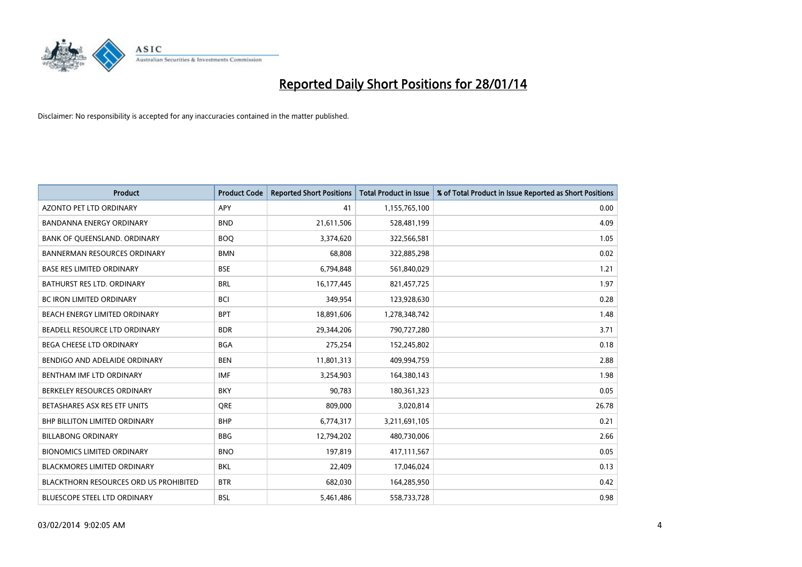

| <b>Product</b>                                | <b>Product Code</b> | <b>Reported Short Positions</b> | <b>Total Product in Issue</b> | % of Total Product in Issue Reported as Short Positions |
|-----------------------------------------------|---------------------|---------------------------------|-------------------------------|---------------------------------------------------------|
| <b>AZONTO PET LTD ORDINARY</b>                | APY                 | 41                              | 1,155,765,100                 | 0.00                                                    |
| BANDANNA ENERGY ORDINARY                      | <b>BND</b>          | 21,611,506                      | 528,481,199                   | 4.09                                                    |
| BANK OF QUEENSLAND. ORDINARY                  | <b>BOQ</b>          | 3,374,620                       | 322,566,581                   | 1.05                                                    |
| <b>BANNERMAN RESOURCES ORDINARY</b>           | <b>BMN</b>          | 68,808                          | 322,885,298                   | 0.02                                                    |
| <b>BASE RES LIMITED ORDINARY</b>              | <b>BSE</b>          | 6,794,848                       | 561,840,029                   | 1.21                                                    |
| <b>BATHURST RES LTD. ORDINARY</b>             | <b>BRL</b>          | 16,177,445                      | 821,457,725                   | 1.97                                                    |
| <b>BC IRON LIMITED ORDINARY</b>               | <b>BCI</b>          | 349,954                         | 123,928,630                   | 0.28                                                    |
| BEACH ENERGY LIMITED ORDINARY                 | <b>BPT</b>          | 18,891,606                      | 1,278,348,742                 | 1.48                                                    |
| BEADELL RESOURCE LTD ORDINARY                 | <b>BDR</b>          | 29,344,206                      | 790,727,280                   | 3.71                                                    |
| <b>BEGA CHEESE LTD ORDINARY</b>               | <b>BGA</b>          | 275,254                         | 152,245,802                   | 0.18                                                    |
| BENDIGO AND ADELAIDE ORDINARY                 | <b>BEN</b>          | 11,801,313                      | 409,994,759                   | 2.88                                                    |
| BENTHAM IMF LTD ORDINARY                      | <b>IMF</b>          | 3,254,903                       | 164,380,143                   | 1.98                                                    |
| BERKELEY RESOURCES ORDINARY                   | <b>BKY</b>          | 90,783                          | 180,361,323                   | 0.05                                                    |
| BETASHARES ASX RES ETF UNITS                  | <b>ORE</b>          | 809,000                         | 3,020,814                     | 26.78                                                   |
| <b>BHP BILLITON LIMITED ORDINARY</b>          | <b>BHP</b>          | 6,774,317                       | 3,211,691,105                 | 0.21                                                    |
| <b>BILLABONG ORDINARY</b>                     | <b>BBG</b>          | 12,794,202                      | 480,730,006                   | 2.66                                                    |
| <b>BIONOMICS LIMITED ORDINARY</b>             | <b>BNO</b>          | 197,819                         | 417,111,567                   | 0.05                                                    |
| <b>BLACKMORES LIMITED ORDINARY</b>            | <b>BKL</b>          | 22,409                          | 17,046,024                    | 0.13                                                    |
| <b>BLACKTHORN RESOURCES ORD US PROHIBITED</b> | <b>BTR</b>          | 682,030                         | 164,285,950                   | 0.42                                                    |
| BLUESCOPE STEEL LTD ORDINARY                  | BSL                 | 5,461,486                       | 558,733,728                   | 0.98                                                    |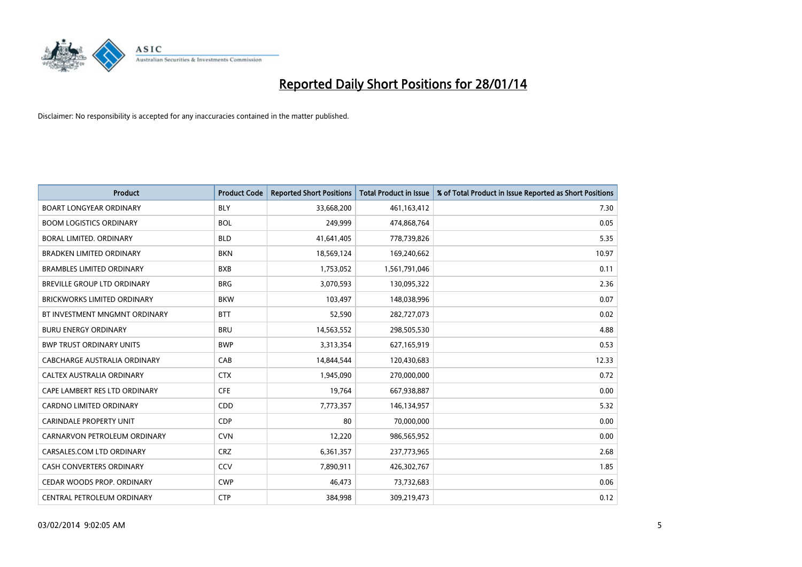

| <b>Product</b>                     | <b>Product Code</b> | <b>Reported Short Positions</b> | <b>Total Product in Issue</b> | % of Total Product in Issue Reported as Short Positions |
|------------------------------------|---------------------|---------------------------------|-------------------------------|---------------------------------------------------------|
| <b>BOART LONGYEAR ORDINARY</b>     | <b>BLY</b>          | 33,668,200                      | 461,163,412                   | 7.30                                                    |
| <b>BOOM LOGISTICS ORDINARY</b>     | <b>BOL</b>          | 249,999                         | 474,868,764                   | 0.05                                                    |
| BORAL LIMITED, ORDINARY            | <b>BLD</b>          | 41,641,405                      | 778,739,826                   | 5.35                                                    |
| <b>BRADKEN LIMITED ORDINARY</b>    | <b>BKN</b>          | 18,569,124                      | 169,240,662                   | 10.97                                                   |
| <b>BRAMBLES LIMITED ORDINARY</b>   | <b>BXB</b>          | 1,753,052                       | 1,561,791,046                 | 0.11                                                    |
| BREVILLE GROUP LTD ORDINARY        | <b>BRG</b>          | 3,070,593                       | 130,095,322                   | 2.36                                                    |
| <b>BRICKWORKS LIMITED ORDINARY</b> | <b>BKW</b>          | 103,497                         | 148,038,996                   | 0.07                                                    |
| BT INVESTMENT MNGMNT ORDINARY      | <b>BTT</b>          | 52,590                          | 282,727,073                   | 0.02                                                    |
| <b>BURU ENERGY ORDINARY</b>        | <b>BRU</b>          | 14,563,552                      | 298,505,530                   | 4.88                                                    |
| <b>BWP TRUST ORDINARY UNITS</b>    | <b>BWP</b>          | 3,313,354                       | 627,165,919                   | 0.53                                                    |
| CABCHARGE AUSTRALIA ORDINARY       | CAB                 | 14,844,544                      | 120,430,683                   | 12.33                                                   |
| CALTEX AUSTRALIA ORDINARY          | <b>CTX</b>          | 1,945,090                       | 270,000,000                   | 0.72                                                    |
| CAPE LAMBERT RES LTD ORDINARY      | <b>CFE</b>          | 19,764                          | 667,938,887                   | 0.00                                                    |
| <b>CARDNO LIMITED ORDINARY</b>     | CDD                 | 7,773,357                       | 146,134,957                   | 5.32                                                    |
| <b>CARINDALE PROPERTY UNIT</b>     | <b>CDP</b>          | 80                              | 70,000,000                    | 0.00                                                    |
| CARNARVON PETROLEUM ORDINARY       | <b>CVN</b>          | 12,220                          | 986,565,952                   | 0.00                                                    |
| CARSALES.COM LTD ORDINARY          | <b>CRZ</b>          | 6,361,357                       | 237,773,965                   | 2.68                                                    |
| CASH CONVERTERS ORDINARY           | CCV                 | 7,890,911                       | 426,302,767                   | 1.85                                                    |
| CEDAR WOODS PROP. ORDINARY         | <b>CWP</b>          | 46,473                          | 73,732,683                    | 0.06                                                    |
| CENTRAL PETROLEUM ORDINARY         | <b>CTP</b>          | 384,998                         | 309,219,473                   | 0.12                                                    |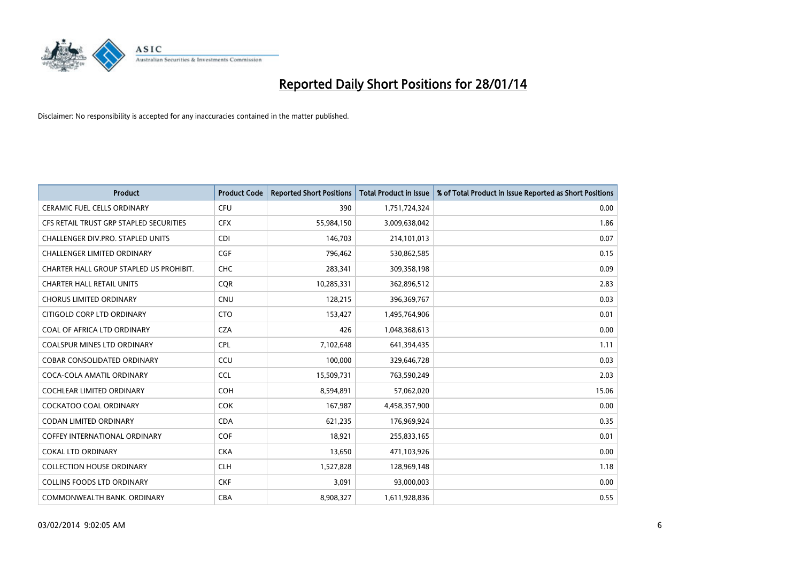

| <b>Product</b>                          | <b>Product Code</b> | <b>Reported Short Positions</b> | <b>Total Product in Issue</b> | % of Total Product in Issue Reported as Short Positions |
|-----------------------------------------|---------------------|---------------------------------|-------------------------------|---------------------------------------------------------|
| <b>CERAMIC FUEL CELLS ORDINARY</b>      | <b>CFU</b>          | 390                             | 1,751,724,324                 | 0.00                                                    |
| CFS RETAIL TRUST GRP STAPLED SECURITIES | <b>CFX</b>          | 55,984,150                      | 3,009,638,042                 | 1.86                                                    |
| CHALLENGER DIV.PRO. STAPLED UNITS       | <b>CDI</b>          | 146,703                         | 214,101,013                   | 0.07                                                    |
| <b>CHALLENGER LIMITED ORDINARY</b>      | <b>CGF</b>          | 796,462                         | 530,862,585                   | 0.15                                                    |
| CHARTER HALL GROUP STAPLED US PROHIBIT. | <b>CHC</b>          | 283,341                         | 309,358,198                   | 0.09                                                    |
| <b>CHARTER HALL RETAIL UNITS</b>        | CQR                 | 10,285,331                      | 362,896,512                   | 2.83                                                    |
| <b>CHORUS LIMITED ORDINARY</b>          | <b>CNU</b>          | 128,215                         | 396,369,767                   | 0.03                                                    |
| CITIGOLD CORP LTD ORDINARY              | <b>CTO</b>          | 153,427                         | 1,495,764,906                 | 0.01                                                    |
| COAL OF AFRICA LTD ORDINARY             | <b>CZA</b>          | 426                             | 1,048,368,613                 | 0.00                                                    |
| <b>COALSPUR MINES LTD ORDINARY</b>      | <b>CPL</b>          | 7,102,648                       | 641,394,435                   | 1.11                                                    |
| COBAR CONSOLIDATED ORDINARY             | CCU                 | 100,000                         | 329,646,728                   | 0.03                                                    |
| COCA-COLA AMATIL ORDINARY               | <b>CCL</b>          | 15,509,731                      | 763,590,249                   | 2.03                                                    |
| COCHLEAR LIMITED ORDINARY               | <b>COH</b>          | 8,594,891                       | 57,062,020                    | 15.06                                                   |
| <b>COCKATOO COAL ORDINARY</b>           | COK                 | 167,987                         | 4,458,357,900                 | 0.00                                                    |
| <b>CODAN LIMITED ORDINARY</b>           | <b>CDA</b>          | 621,235                         | 176,969,924                   | 0.35                                                    |
| <b>COFFEY INTERNATIONAL ORDINARY</b>    | <b>COF</b>          | 18,921                          | 255,833,165                   | 0.01                                                    |
| <b>COKAL LTD ORDINARY</b>               | <b>CKA</b>          | 13,650                          | 471,103,926                   | 0.00                                                    |
| <b>COLLECTION HOUSE ORDINARY</b>        | <b>CLH</b>          | 1,527,828                       | 128,969,148                   | 1.18                                                    |
| <b>COLLINS FOODS LTD ORDINARY</b>       | <b>CKF</b>          | 3,091                           | 93,000,003                    | 0.00                                                    |
| COMMONWEALTH BANK, ORDINARY             | <b>CBA</b>          | 8,908,327                       | 1,611,928,836                 | 0.55                                                    |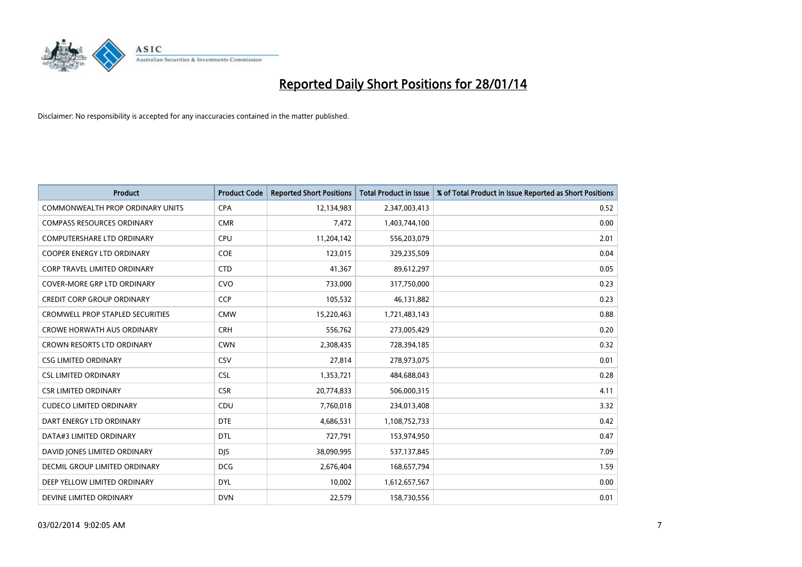

| <b>Product</b>                          | <b>Product Code</b> | <b>Reported Short Positions</b> | Total Product in Issue | % of Total Product in Issue Reported as Short Positions |
|-----------------------------------------|---------------------|---------------------------------|------------------------|---------------------------------------------------------|
| <b>COMMONWEALTH PROP ORDINARY UNITS</b> | <b>CPA</b>          | 12,134,983                      | 2,347,003,413          | 0.52                                                    |
| <b>COMPASS RESOURCES ORDINARY</b>       | <b>CMR</b>          | 7,472                           | 1,403,744,100          | 0.00                                                    |
| COMPUTERSHARE LTD ORDINARY              | <b>CPU</b>          | 11,204,142                      | 556,203,079            | 2.01                                                    |
| <b>COOPER ENERGY LTD ORDINARY</b>       | <b>COE</b>          | 123,015                         | 329,235,509            | 0.04                                                    |
| CORP TRAVEL LIMITED ORDINARY            | <b>CTD</b>          | 41,367                          | 89,612,297             | 0.05                                                    |
| <b>COVER-MORE GRP LTD ORDINARY</b>      | <b>CVO</b>          | 733,000                         | 317,750,000            | 0.23                                                    |
| CREDIT CORP GROUP ORDINARY              | <b>CCP</b>          | 105,532                         | 46,131,882             | 0.23                                                    |
| <b>CROMWELL PROP STAPLED SECURITIES</b> | <b>CMW</b>          | 15,220,463                      | 1,721,483,143          | 0.88                                                    |
| <b>CROWE HORWATH AUS ORDINARY</b>       | <b>CRH</b>          | 556,762                         | 273,005,429            | 0.20                                                    |
| <b>CROWN RESORTS LTD ORDINARY</b>       | <b>CWN</b>          | 2,308,435                       | 728,394,185            | 0.32                                                    |
| <b>CSG LIMITED ORDINARY</b>             | CSV                 | 27,814                          | 278,973,075            | 0.01                                                    |
| <b>CSL LIMITED ORDINARY</b>             | <b>CSL</b>          | 1,353,721                       | 484,688,043            | 0.28                                                    |
| <b>CSR LIMITED ORDINARY</b>             | <b>CSR</b>          | 20,774,833                      | 506,000,315            | 4.11                                                    |
| <b>CUDECO LIMITED ORDINARY</b>          | CDU                 | 7,760,018                       | 234,013,408            | 3.32                                                    |
| DART ENERGY LTD ORDINARY                | <b>DTE</b>          | 4,686,531                       | 1,108,752,733          | 0.42                                                    |
| DATA#3 LIMITED ORDINARY                 | <b>DTL</b>          | 727,791                         | 153,974,950            | 0.47                                                    |
| DAVID JONES LIMITED ORDINARY            | <b>DJS</b>          | 38,090,995                      | 537,137,845            | 7.09                                                    |
| DECMIL GROUP LIMITED ORDINARY           | <b>DCG</b>          | 2,676,404                       | 168,657,794            | 1.59                                                    |
| DEEP YELLOW LIMITED ORDINARY            | <b>DYL</b>          | 10,002                          | 1,612,657,567          | 0.00                                                    |
| DEVINE LIMITED ORDINARY                 | <b>DVN</b>          | 22,579                          | 158,730,556            | 0.01                                                    |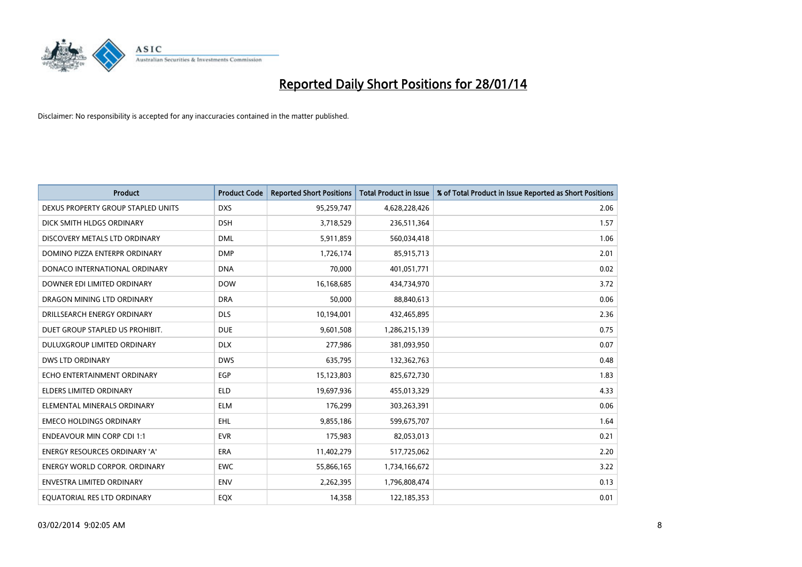

| <b>Product</b>                       | <b>Product Code</b> | <b>Reported Short Positions</b> | <b>Total Product in Issue</b> | % of Total Product in Issue Reported as Short Positions |
|--------------------------------------|---------------------|---------------------------------|-------------------------------|---------------------------------------------------------|
| DEXUS PROPERTY GROUP STAPLED UNITS   | <b>DXS</b>          | 95,259,747                      | 4,628,228,426                 | 2.06                                                    |
| DICK SMITH HLDGS ORDINARY            | <b>DSH</b>          | 3,718,529                       | 236,511,364                   | 1.57                                                    |
| DISCOVERY METALS LTD ORDINARY        | <b>DML</b>          | 5,911,859                       | 560,034,418                   | 1.06                                                    |
| DOMINO PIZZA ENTERPR ORDINARY        | <b>DMP</b>          | 1,726,174                       | 85,915,713                    | 2.01                                                    |
| DONACO INTERNATIONAL ORDINARY        | <b>DNA</b>          | 70,000                          | 401,051,771                   | 0.02                                                    |
| DOWNER EDI LIMITED ORDINARY          | <b>DOW</b>          | 16,168,685                      | 434,734,970                   | 3.72                                                    |
| DRAGON MINING LTD ORDINARY           | <b>DRA</b>          | 50.000                          | 88,840,613                    | 0.06                                                    |
| DRILLSEARCH ENERGY ORDINARY          | <b>DLS</b>          | 10,194,001                      | 432,465,895                   | 2.36                                                    |
| DUET GROUP STAPLED US PROHIBIT.      | <b>DUE</b>          | 9,601,508                       | 1,286,215,139                 | 0.75                                                    |
| DULUXGROUP LIMITED ORDINARY          | <b>DLX</b>          | 277,986                         | 381,093,950                   | 0.07                                                    |
| <b>DWS LTD ORDINARY</b>              | <b>DWS</b>          | 635,795                         | 132,362,763                   | 0.48                                                    |
| ECHO ENTERTAINMENT ORDINARY          | <b>EGP</b>          | 15,123,803                      | 825,672,730                   | 1.83                                                    |
| <b>ELDERS LIMITED ORDINARY</b>       | <b>ELD</b>          | 19,697,936                      | 455,013,329                   | 4.33                                                    |
| ELEMENTAL MINERALS ORDINARY          | <b>ELM</b>          | 176,299                         | 303,263,391                   | 0.06                                                    |
| <b>EMECO HOLDINGS ORDINARY</b>       | <b>EHL</b>          | 9,855,186                       | 599,675,707                   | 1.64                                                    |
| <b>ENDEAVOUR MIN CORP CDI 1:1</b>    | <b>EVR</b>          | 175,983                         | 82,053,013                    | 0.21                                                    |
| <b>ENERGY RESOURCES ORDINARY 'A'</b> | <b>ERA</b>          | 11,402,279                      | 517,725,062                   | 2.20                                                    |
| ENERGY WORLD CORPOR. ORDINARY        | <b>EWC</b>          | 55,866,165                      | 1,734,166,672                 | 3.22                                                    |
| <b>ENVESTRA LIMITED ORDINARY</b>     | <b>ENV</b>          | 2,262,395                       | 1,796,808,474                 | 0.13                                                    |
| EQUATORIAL RES LTD ORDINARY          | EQX                 | 14,358                          | 122,185,353                   | 0.01                                                    |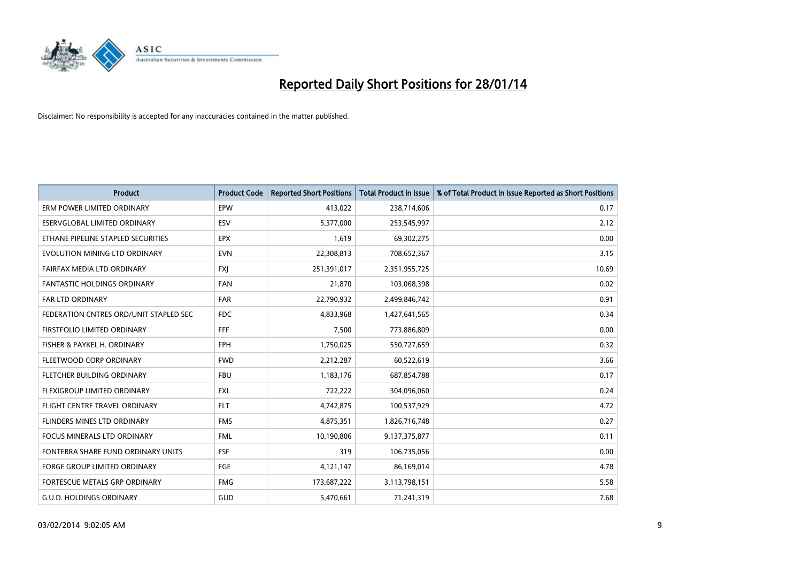

| <b>Product</b>                         | <b>Product Code</b> | <b>Reported Short Positions</b> | <b>Total Product in Issue</b> | % of Total Product in Issue Reported as Short Positions |
|----------------------------------------|---------------------|---------------------------------|-------------------------------|---------------------------------------------------------|
| ERM POWER LIMITED ORDINARY             | EPW                 | 413,022                         | 238,714,606                   | 0.17                                                    |
| ESERVGLOBAL LIMITED ORDINARY           | <b>ESV</b>          | 5,377,000                       | 253,545,997                   | 2.12                                                    |
| ETHANE PIPELINE STAPLED SECURITIES     | <b>EPX</b>          | 1,619                           | 69,302,275                    | 0.00                                                    |
| EVOLUTION MINING LTD ORDINARY          | <b>EVN</b>          | 22,308,813                      | 708,652,367                   | 3.15                                                    |
| <b>FAIRFAX MEDIA LTD ORDINARY</b>      | <b>FXI</b>          | 251,391,017                     | 2,351,955,725                 | 10.69                                                   |
| <b>FANTASTIC HOLDINGS ORDINARY</b>     | FAN                 | 21,870                          | 103,068,398                   | 0.02                                                    |
| FAR LTD ORDINARY                       | <b>FAR</b>          | 22,790,932                      | 2,499,846,742                 | 0.91                                                    |
| FEDERATION CNTRES ORD/UNIT STAPLED SEC | <b>FDC</b>          | 4,833,968                       | 1,427,641,565                 | 0.34                                                    |
| FIRSTFOLIO LIMITED ORDINARY            | <b>FFF</b>          | 7,500                           | 773,886,809                   | 0.00                                                    |
| FISHER & PAYKEL H. ORDINARY            | <b>FPH</b>          | 1,750,025                       | 550,727,659                   | 0.32                                                    |
| FLEETWOOD CORP ORDINARY                | <b>FWD</b>          | 2,212,287                       | 60,522,619                    | 3.66                                                    |
| FLETCHER BUILDING ORDINARY             | <b>FBU</b>          | 1,183,176                       | 687,854,788                   | 0.17                                                    |
| FLEXIGROUP LIMITED ORDINARY            | <b>FXL</b>          | 722,222                         | 304,096,060                   | 0.24                                                    |
| FLIGHT CENTRE TRAVEL ORDINARY          | <b>FLT</b>          | 4,742,875                       | 100,537,929                   | 4.72                                                    |
| FLINDERS MINES LTD ORDINARY            | <b>FMS</b>          | 4,875,351                       | 1,826,716,748                 | 0.27                                                    |
| FOCUS MINERALS LTD ORDINARY            | <b>FML</b>          | 10,190,806                      | 9,137,375,877                 | 0.11                                                    |
| FONTERRA SHARE FUND ORDINARY UNITS     | <b>FSF</b>          | 319                             | 106,735,056                   | 0.00                                                    |
| <b>FORGE GROUP LIMITED ORDINARY</b>    | FGE                 | 4,121,147                       | 86,169,014                    | 4.78                                                    |
| FORTESCUE METALS GRP ORDINARY          | <b>FMG</b>          | 173,687,222                     | 3,113,798,151                 | 5.58                                                    |
| <b>G.U.D. HOLDINGS ORDINARY</b>        | GUD                 | 5,470,661                       | 71,241,319                    | 7.68                                                    |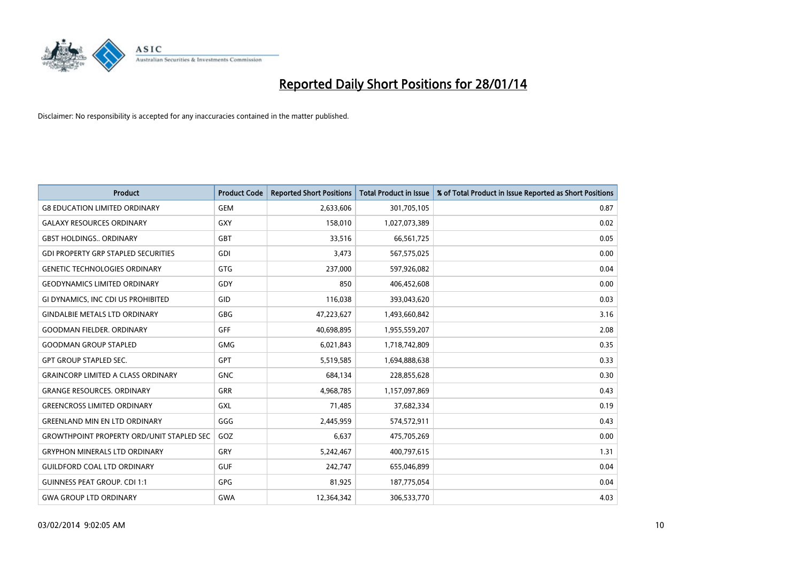

| <b>Product</b>                                   | <b>Product Code</b> | <b>Reported Short Positions</b> | <b>Total Product in Issue</b> | % of Total Product in Issue Reported as Short Positions |
|--------------------------------------------------|---------------------|---------------------------------|-------------------------------|---------------------------------------------------------|
| <b>G8 EDUCATION LIMITED ORDINARY</b>             | <b>GEM</b>          | 2,633,606                       | 301,705,105                   | 0.87                                                    |
| <b>GALAXY RESOURCES ORDINARY</b>                 | <b>GXY</b>          | 158,010                         | 1,027,073,389                 | 0.02                                                    |
| <b>GBST HOLDINGS ORDINARY</b>                    | <b>GBT</b>          | 33,516                          | 66,561,725                    | 0.05                                                    |
| <b>GDI PROPERTY GRP STAPLED SECURITIES</b>       | GDI                 | 3,473                           | 567,575,025                   | 0.00                                                    |
| <b>GENETIC TECHNOLOGIES ORDINARY</b>             | GTG                 | 237,000                         | 597,926,082                   | 0.04                                                    |
| <b>GEODYNAMICS LIMITED ORDINARY</b>              | GDY                 | 850                             | 406,452,608                   | 0.00                                                    |
| GI DYNAMICS, INC CDI US PROHIBITED               | GID                 | 116,038                         | 393,043,620                   | 0.03                                                    |
| <b>GINDALBIE METALS LTD ORDINARY</b>             | GBG                 | 47,223,627                      | 1,493,660,842                 | 3.16                                                    |
| <b>GOODMAN FIELDER, ORDINARY</b>                 | <b>GFF</b>          | 40,698,895                      | 1,955,559,207                 | 2.08                                                    |
| <b>GOODMAN GROUP STAPLED</b>                     | <b>GMG</b>          | 6,021,843                       | 1,718,742,809                 | 0.35                                                    |
| <b>GPT GROUP STAPLED SEC.</b>                    | <b>GPT</b>          | 5,519,585                       | 1,694,888,638                 | 0.33                                                    |
| <b>GRAINCORP LIMITED A CLASS ORDINARY</b>        | <b>GNC</b>          | 684,134                         | 228,855,628                   | 0.30                                                    |
| <b>GRANGE RESOURCES. ORDINARY</b>                | GRR                 | 4,968,785                       | 1,157,097,869                 | 0.43                                                    |
| <b>GREENCROSS LIMITED ORDINARY</b>               | <b>GXL</b>          | 71,485                          | 37,682,334                    | 0.19                                                    |
| <b>GREENLAND MIN EN LTD ORDINARY</b>             | GGG                 | 2,445,959                       | 574,572,911                   | 0.43                                                    |
| <b>GROWTHPOINT PROPERTY ORD/UNIT STAPLED SEC</b> | GOZ                 | 6,637                           | 475,705,269                   | 0.00                                                    |
| <b>GRYPHON MINERALS LTD ORDINARY</b>             | GRY                 | 5,242,467                       | 400,797,615                   | 1.31                                                    |
| <b>GUILDFORD COAL LTD ORDINARY</b>               | <b>GUF</b>          | 242,747                         | 655,046,899                   | 0.04                                                    |
| <b>GUINNESS PEAT GROUP. CDI 1:1</b>              | GPG                 | 81,925                          | 187,775,054                   | 0.04                                                    |
| <b>GWA GROUP LTD ORDINARY</b>                    | <b>GWA</b>          | 12,364,342                      | 306,533,770                   | 4.03                                                    |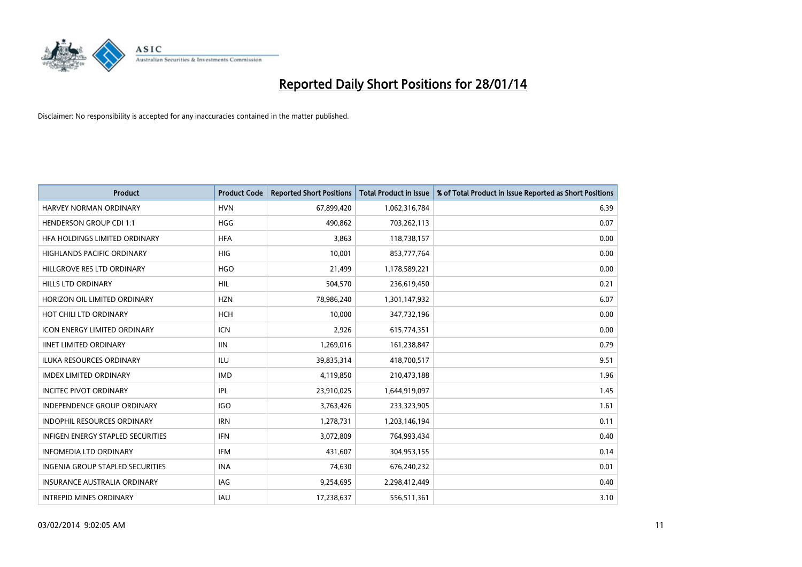

| <b>Product</b>                      | <b>Product Code</b> | <b>Reported Short Positions</b> | <b>Total Product in Issue</b> | % of Total Product in Issue Reported as Short Positions |
|-------------------------------------|---------------------|---------------------------------|-------------------------------|---------------------------------------------------------|
| <b>HARVEY NORMAN ORDINARY</b>       | <b>HVN</b>          | 67,899,420                      | 1,062,316,784                 | 6.39                                                    |
| <b>HENDERSON GROUP CDI 1:1</b>      | <b>HGG</b>          | 490,862                         | 703,262,113                   | 0.07                                                    |
| HFA HOLDINGS LIMITED ORDINARY       | <b>HFA</b>          | 3,863                           | 118,738,157                   | 0.00                                                    |
| HIGHLANDS PACIFIC ORDINARY          | <b>HIG</b>          | 10,001                          | 853,777,764                   | 0.00                                                    |
| HILLGROVE RES LTD ORDINARY          | <b>HGO</b>          | 21,499                          | 1,178,589,221                 | 0.00                                                    |
| <b>HILLS LTD ORDINARY</b>           | <b>HIL</b>          | 504,570                         | 236,619,450                   | 0.21                                                    |
| HORIZON OIL LIMITED ORDINARY        | <b>HZN</b>          | 78,986,240                      | 1,301,147,932                 | 6.07                                                    |
| HOT CHILI LTD ORDINARY              | <b>HCH</b>          | 10,000                          | 347,732,196                   | 0.00                                                    |
| <b>ICON ENERGY LIMITED ORDINARY</b> | <b>ICN</b>          | 2,926                           | 615,774,351                   | 0.00                                                    |
| <b>IINET LIMITED ORDINARY</b>       | <b>IIN</b>          | 1,269,016                       | 161,238,847                   | 0.79                                                    |
| ILUKA RESOURCES ORDINARY            | ILU                 | 39,835,314                      | 418,700,517                   | 9.51                                                    |
| <b>IMDEX LIMITED ORDINARY</b>       | <b>IMD</b>          | 4,119,850                       | 210,473,188                   | 1.96                                                    |
| <b>INCITEC PIVOT ORDINARY</b>       | IPL                 | 23,910,025                      | 1,644,919,097                 | 1.45                                                    |
| <b>INDEPENDENCE GROUP ORDINARY</b>  | <b>IGO</b>          | 3,763,426                       | 233,323,905                   | 1.61                                                    |
| <b>INDOPHIL RESOURCES ORDINARY</b>  | <b>IRN</b>          | 1,278,731                       | 1,203,146,194                 | 0.11                                                    |
| INFIGEN ENERGY STAPLED SECURITIES   | <b>IFN</b>          | 3,072,809                       | 764,993,434                   | 0.40                                                    |
| <b>INFOMEDIA LTD ORDINARY</b>       | IFM                 | 431,607                         | 304,953,155                   | 0.14                                                    |
| INGENIA GROUP STAPLED SECURITIES    | <b>INA</b>          | 74,630                          | 676,240,232                   | 0.01                                                    |
| <b>INSURANCE AUSTRALIA ORDINARY</b> | IAG                 | 9,254,695                       | 2,298,412,449                 | 0.40                                                    |
| <b>INTREPID MINES ORDINARY</b>      | IAU                 | 17,238,637                      | 556,511,361                   | 3.10                                                    |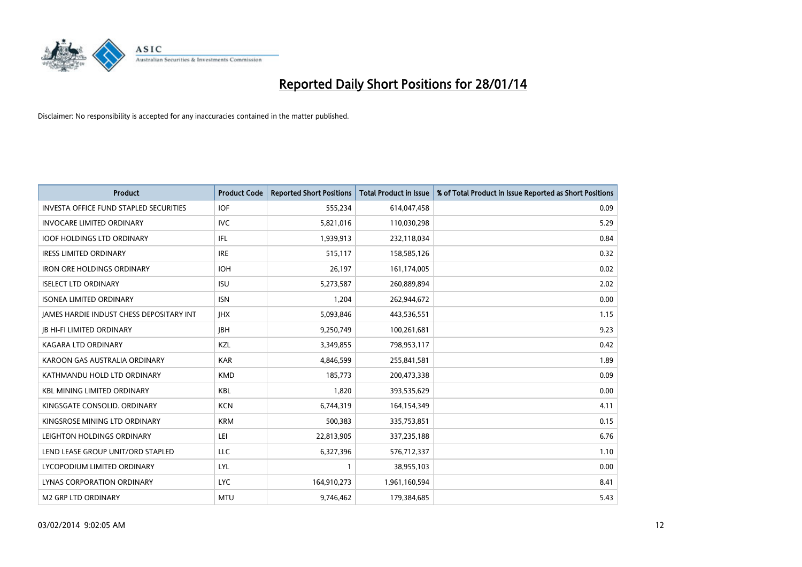

| <b>Product</b>                                  | <b>Product Code</b> | <b>Reported Short Positions</b> | <b>Total Product in Issue</b> | % of Total Product in Issue Reported as Short Positions |
|-------------------------------------------------|---------------------|---------------------------------|-------------------------------|---------------------------------------------------------|
| <b>INVESTA OFFICE FUND STAPLED SECURITIES</b>   | <b>IOF</b>          | 555,234                         | 614,047,458                   | 0.09                                                    |
| <b>INVOCARE LIMITED ORDINARY</b>                | <b>IVC</b>          | 5,821,016                       | 110,030,298                   | 5.29                                                    |
| <b>IOOF HOLDINGS LTD ORDINARY</b>               | IFL                 | 1,939,913                       | 232,118,034                   | 0.84                                                    |
| <b>IRESS LIMITED ORDINARY</b>                   | <b>IRE</b>          | 515,117                         | 158,585,126                   | 0.32                                                    |
| <b>IRON ORE HOLDINGS ORDINARY</b>               | <b>IOH</b>          | 26,197                          | 161,174,005                   | 0.02                                                    |
| <b>ISELECT LTD ORDINARY</b>                     | <b>ISU</b>          | 5,273,587                       | 260,889,894                   | 2.02                                                    |
| <b>ISONEA LIMITED ORDINARY</b>                  | <b>ISN</b>          | 1,204                           | 262,944,672                   | 0.00                                                    |
| <b>JAMES HARDIE INDUST CHESS DEPOSITARY INT</b> | <b>IHX</b>          | 5,093,846                       | 443,536,551                   | 1.15                                                    |
| <b>JB HI-FI LIMITED ORDINARY</b>                | <b>IBH</b>          | 9,250,749                       | 100,261,681                   | 9.23                                                    |
| <b>KAGARA LTD ORDINARY</b>                      | KZL                 | 3,349,855                       | 798,953,117                   | 0.42                                                    |
| KAROON GAS AUSTRALIA ORDINARY                   | <b>KAR</b>          | 4,846,599                       | 255,841,581                   | 1.89                                                    |
| KATHMANDU HOLD LTD ORDINARY                     | <b>KMD</b>          | 185,773                         | 200,473,338                   | 0.09                                                    |
| <b>KBL MINING LIMITED ORDINARY</b>              | <b>KBL</b>          | 1,820                           | 393,535,629                   | 0.00                                                    |
| KINGSGATE CONSOLID, ORDINARY                    | <b>KCN</b>          | 6,744,319                       | 164,154,349                   | 4.11                                                    |
| KINGSROSE MINING LTD ORDINARY                   | <b>KRM</b>          | 500,383                         | 335,753,851                   | 0.15                                                    |
| LEIGHTON HOLDINGS ORDINARY                      | LEI                 | 22,813,905                      | 337,235,188                   | 6.76                                                    |
| LEND LEASE GROUP UNIT/ORD STAPLED               | LLC                 | 6,327,396                       | 576,712,337                   | 1.10                                                    |
| LYCOPODIUM LIMITED ORDINARY                     | <b>LYL</b>          | 1                               | 38,955,103                    | 0.00                                                    |
| LYNAS CORPORATION ORDINARY                      | <b>LYC</b>          | 164,910,273                     | 1,961,160,594                 | 8.41                                                    |
| <b>M2 GRP LTD ORDINARY</b>                      | <b>MTU</b>          | 9,746,462                       | 179,384,685                   | 5.43                                                    |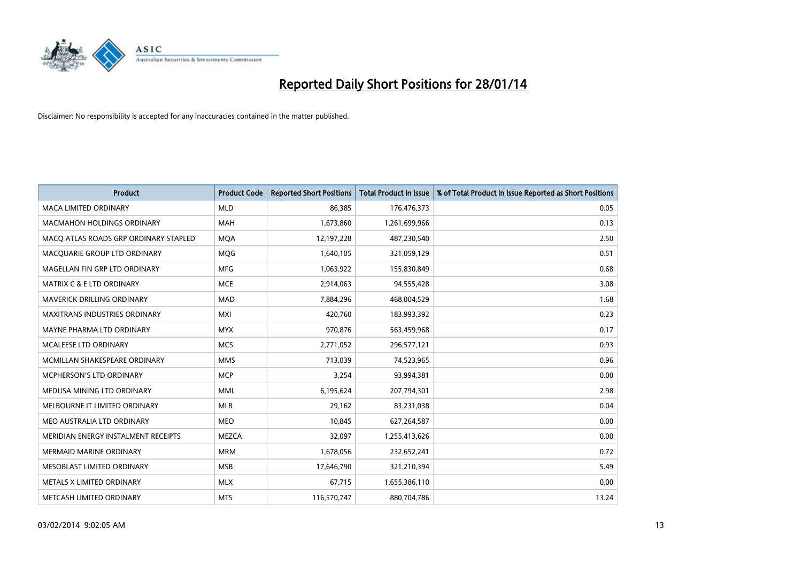

| <b>Product</b>                        | <b>Product Code</b> | <b>Reported Short Positions</b> | <b>Total Product in Issue</b> | % of Total Product in Issue Reported as Short Positions |
|---------------------------------------|---------------------|---------------------------------|-------------------------------|---------------------------------------------------------|
| <b>MACA LIMITED ORDINARY</b>          | <b>MLD</b>          | 86,385                          | 176,476,373                   | 0.05                                                    |
| <b>MACMAHON HOLDINGS ORDINARY</b>     | <b>MAH</b>          | 1,673,860                       | 1,261,699,966                 | 0.13                                                    |
| MACO ATLAS ROADS GRP ORDINARY STAPLED | <b>MOA</b>          | 12,197,228                      | 487,230,540                   | 2.50                                                    |
| MACQUARIE GROUP LTD ORDINARY          | <b>MQG</b>          | 1,640,105                       | 321,059,129                   | 0.51                                                    |
| MAGELLAN FIN GRP LTD ORDINARY         | <b>MFG</b>          | 1,063,922                       | 155,830,849                   | 0.68                                                    |
| <b>MATRIX C &amp; E LTD ORDINARY</b>  | <b>MCE</b>          | 2,914,063                       | 94,555,428                    | 3.08                                                    |
| <b>MAVERICK DRILLING ORDINARY</b>     | <b>MAD</b>          | 7,884,296                       | 468,004,529                   | 1.68                                                    |
| MAXITRANS INDUSTRIES ORDINARY         | <b>MXI</b>          | 420,760                         | 183,993,392                   | 0.23                                                    |
| MAYNE PHARMA LTD ORDINARY             | <b>MYX</b>          | 970,876                         | 563,459,968                   | 0.17                                                    |
| <b>MCALEESE LTD ORDINARY</b>          | <b>MCS</b>          | 2,771,052                       | 296,577,121                   | 0.93                                                    |
| MCMILLAN SHAKESPEARE ORDINARY         | <b>MMS</b>          | 713,039                         | 74,523,965                    | 0.96                                                    |
| MCPHERSON'S LTD ORDINARY              | <b>MCP</b>          | 3,254                           | 93,994,381                    | 0.00                                                    |
| MEDUSA MINING LTD ORDINARY            | <b>MML</b>          | 6,195,624                       | 207,794,301                   | 2.98                                                    |
| MELBOURNE IT LIMITED ORDINARY         | MLB                 | 29,162                          | 83,231,038                    | 0.04                                                    |
| MEO AUSTRALIA LTD ORDINARY            | <b>MEO</b>          | 10,845                          | 627,264,587                   | 0.00                                                    |
| MERIDIAN ENERGY INSTALMENT RECEIPTS   | <b>MEZCA</b>        | 32,097                          | 1,255,413,626                 | 0.00                                                    |
| MERMAID MARINE ORDINARY               | <b>MRM</b>          | 1,678,056                       | 232,652,241                   | 0.72                                                    |
| MESOBLAST LIMITED ORDINARY            | <b>MSB</b>          | 17,646,790                      | 321,210,394                   | 5.49                                                    |
| METALS X LIMITED ORDINARY             | <b>MLX</b>          | 67,715                          | 1,655,386,110                 | 0.00                                                    |
| METCASH LIMITED ORDINARY              | <b>MTS</b>          | 116,570,747                     | 880,704,786                   | 13.24                                                   |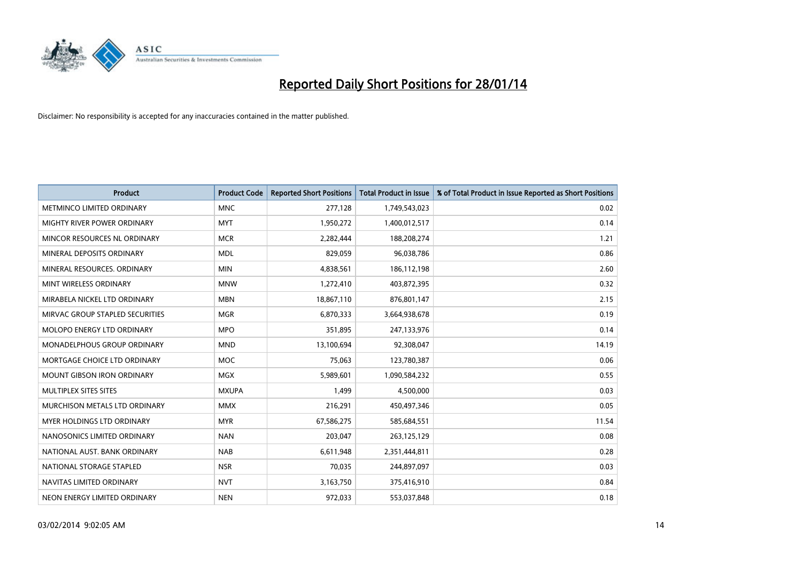

| <b>Product</b>                    | <b>Product Code</b> | <b>Reported Short Positions</b> | <b>Total Product in Issue</b> | % of Total Product in Issue Reported as Short Positions |
|-----------------------------------|---------------------|---------------------------------|-------------------------------|---------------------------------------------------------|
| METMINCO LIMITED ORDINARY         | <b>MNC</b>          | 277,128                         | 1,749,543,023                 | 0.02                                                    |
| MIGHTY RIVER POWER ORDINARY       | <b>MYT</b>          | 1,950,272                       | 1,400,012,517                 | 0.14                                                    |
| MINCOR RESOURCES NL ORDINARY      | <b>MCR</b>          | 2,282,444                       | 188,208,274                   | 1.21                                                    |
| MINERAL DEPOSITS ORDINARY         | <b>MDL</b>          | 829,059                         | 96,038,786                    | 0.86                                                    |
| MINERAL RESOURCES, ORDINARY       | <b>MIN</b>          | 4,838,561                       | 186,112,198                   | 2.60                                                    |
| MINT WIRELESS ORDINARY            | <b>MNW</b>          | 1,272,410                       | 403,872,395                   | 0.32                                                    |
| MIRABELA NICKEL LTD ORDINARY      | <b>MBN</b>          | 18,867,110                      | 876,801,147                   | 2.15                                                    |
| MIRVAC GROUP STAPLED SECURITIES   | <b>MGR</b>          | 6,870,333                       | 3,664,938,678                 | 0.19                                                    |
| MOLOPO ENERGY LTD ORDINARY        | <b>MPO</b>          | 351,895                         | 247,133,976                   | 0.14                                                    |
| MONADELPHOUS GROUP ORDINARY       | <b>MND</b>          | 13,100,694                      | 92,308,047                    | 14.19                                                   |
| MORTGAGE CHOICE LTD ORDINARY      | MOC                 | 75,063                          | 123,780,387                   | 0.06                                                    |
| <b>MOUNT GIBSON IRON ORDINARY</b> | <b>MGX</b>          | 5,989,601                       | 1,090,584,232                 | 0.55                                                    |
| MULTIPLEX SITES SITES             | <b>MXUPA</b>        | 1,499                           | 4,500,000                     | 0.03                                                    |
| MURCHISON METALS LTD ORDINARY     | <b>MMX</b>          | 216,291                         | 450,497,346                   | 0.05                                                    |
| MYER HOLDINGS LTD ORDINARY        | <b>MYR</b>          | 67,586,275                      | 585,684,551                   | 11.54                                                   |
| NANOSONICS LIMITED ORDINARY       | <b>NAN</b>          | 203,047                         | 263,125,129                   | 0.08                                                    |
| NATIONAL AUST. BANK ORDINARY      | <b>NAB</b>          | 6,611,948                       | 2,351,444,811                 | 0.28                                                    |
| NATIONAL STORAGE STAPLED          | <b>NSR</b>          | 70,035                          | 244,897,097                   | 0.03                                                    |
| NAVITAS LIMITED ORDINARY          | <b>NVT</b>          | 3,163,750                       | 375,416,910                   | 0.84                                                    |
| NEON ENERGY LIMITED ORDINARY      | <b>NEN</b>          | 972,033                         | 553,037,848                   | 0.18                                                    |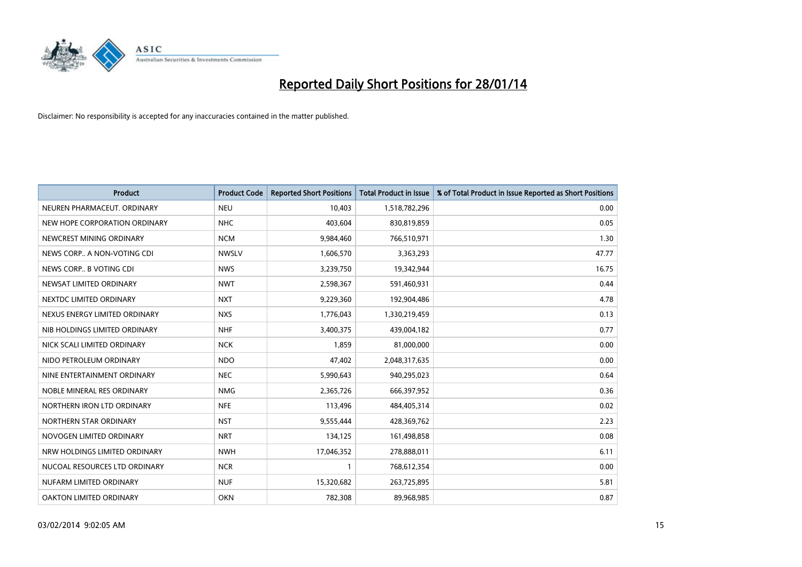

| <b>Product</b>                | <b>Product Code</b> | <b>Reported Short Positions</b> | <b>Total Product in Issue</b> | % of Total Product in Issue Reported as Short Positions |
|-------------------------------|---------------------|---------------------------------|-------------------------------|---------------------------------------------------------|
| NEUREN PHARMACEUT, ORDINARY   | <b>NEU</b>          | 10,403                          | 1,518,782,296                 | 0.00                                                    |
| NEW HOPE CORPORATION ORDINARY | <b>NHC</b>          | 403,604                         | 830,819,859                   | 0.05                                                    |
| NEWCREST MINING ORDINARY      | <b>NCM</b>          | 9,984,460                       | 766,510,971                   | 1.30                                                    |
| NEWS CORP A NON-VOTING CDI    | <b>NWSLV</b>        | 1,606,570                       | 3,363,293                     | 47.77                                                   |
| NEWS CORP B VOTING CDI        | <b>NWS</b>          | 3,239,750                       | 19,342,944                    | 16.75                                                   |
| NEWSAT LIMITED ORDINARY       | <b>NWT</b>          | 2,598,367                       | 591,460,931                   | 0.44                                                    |
| NEXTDC LIMITED ORDINARY       | <b>NXT</b>          | 9,229,360                       | 192,904,486                   | 4.78                                                    |
| NEXUS ENERGY LIMITED ORDINARY | <b>NXS</b>          | 1,776,043                       | 1,330,219,459                 | 0.13                                                    |
| NIB HOLDINGS LIMITED ORDINARY | <b>NHF</b>          | 3,400,375                       | 439,004,182                   | 0.77                                                    |
| NICK SCALI LIMITED ORDINARY   | <b>NCK</b>          | 1,859                           | 81,000,000                    | 0.00                                                    |
| NIDO PETROLEUM ORDINARY       | <b>NDO</b>          | 47,402                          | 2,048,317,635                 | 0.00                                                    |
| NINE ENTERTAINMENT ORDINARY   | <b>NEC</b>          | 5,990,643                       | 940,295,023                   | 0.64                                                    |
| NOBLE MINERAL RES ORDINARY    | <b>NMG</b>          | 2,365,726                       | 666,397,952                   | 0.36                                                    |
| NORTHERN IRON LTD ORDINARY    | <b>NFE</b>          | 113,496                         | 484,405,314                   | 0.02                                                    |
| NORTHERN STAR ORDINARY        | <b>NST</b>          | 9,555,444                       | 428,369,762                   | 2.23                                                    |
| NOVOGEN LIMITED ORDINARY      | <b>NRT</b>          | 134,125                         | 161,498,858                   | 0.08                                                    |
| NRW HOLDINGS LIMITED ORDINARY | <b>NWH</b>          | 17,046,352                      | 278,888,011                   | 6.11                                                    |
| NUCOAL RESOURCES LTD ORDINARY | <b>NCR</b>          | 1                               | 768,612,354                   | 0.00                                                    |
| NUFARM LIMITED ORDINARY       | <b>NUF</b>          | 15,320,682                      | 263,725,895                   | 5.81                                                    |
| OAKTON LIMITED ORDINARY       | <b>OKN</b>          | 782,308                         | 89,968,985                    | 0.87                                                    |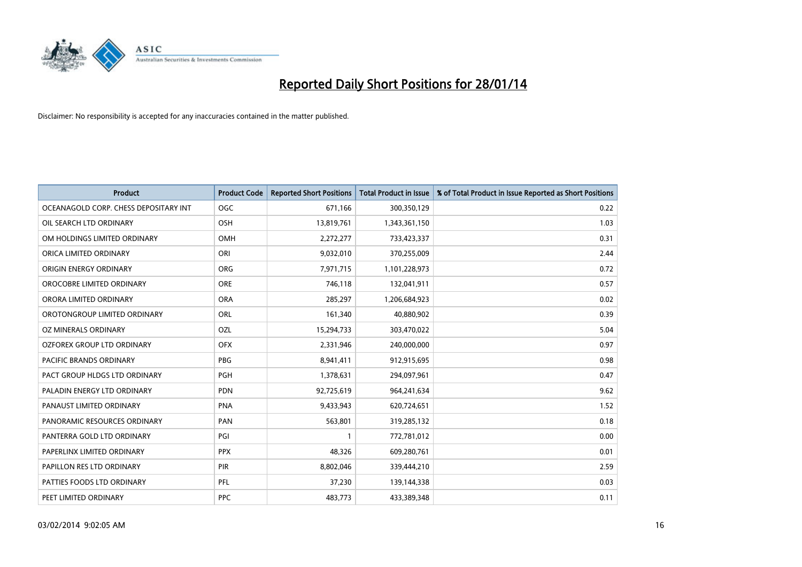

| <b>Product</b>                        | <b>Product Code</b> | <b>Reported Short Positions</b> | <b>Total Product in Issue</b> | % of Total Product in Issue Reported as Short Positions |
|---------------------------------------|---------------------|---------------------------------|-------------------------------|---------------------------------------------------------|
| OCEANAGOLD CORP. CHESS DEPOSITARY INT | <b>OGC</b>          | 671,166                         | 300,350,129                   | 0.22                                                    |
| OIL SEARCH LTD ORDINARY               | OSH                 | 13,819,761                      | 1,343,361,150                 | 1.03                                                    |
| OM HOLDINGS LIMITED ORDINARY          | <b>OMH</b>          | 2,272,277                       | 733,423,337                   | 0.31                                                    |
| ORICA LIMITED ORDINARY                | ORI                 | 9,032,010                       | 370,255,009                   | 2.44                                                    |
| ORIGIN ENERGY ORDINARY                | ORG                 | 7,971,715                       | 1,101,228,973                 | 0.72                                                    |
| OROCOBRE LIMITED ORDINARY             | <b>ORE</b>          | 746,118                         | 132,041,911                   | 0.57                                                    |
| ORORA LIMITED ORDINARY                | <b>ORA</b>          | 285,297                         | 1,206,684,923                 | 0.02                                                    |
| OROTONGROUP LIMITED ORDINARY          | ORL                 | 161,340                         | 40,880,902                    | 0.39                                                    |
| OZ MINERALS ORDINARY                  | OZL                 | 15,294,733                      | 303,470,022                   | 5.04                                                    |
| OZFOREX GROUP LTD ORDINARY            | <b>OFX</b>          | 2,331,946                       | 240,000,000                   | 0.97                                                    |
| PACIFIC BRANDS ORDINARY               | PBG                 | 8,941,411                       | 912,915,695                   | 0.98                                                    |
| PACT GROUP HLDGS LTD ORDINARY         | <b>PGH</b>          | 1,378,631                       | 294,097,961                   | 0.47                                                    |
| PALADIN ENERGY LTD ORDINARY           | <b>PDN</b>          | 92,725,619                      | 964,241,634                   | 9.62                                                    |
| PANAUST LIMITED ORDINARY              | <b>PNA</b>          | 9,433,943                       | 620,724,651                   | 1.52                                                    |
| PANORAMIC RESOURCES ORDINARY          | PAN                 | 563,801                         | 319,285,132                   | 0.18                                                    |
| PANTERRA GOLD LTD ORDINARY            | PGI                 |                                 | 772,781,012                   | 0.00                                                    |
| PAPERLINX LIMITED ORDINARY            | <b>PPX</b>          | 48,326                          | 609,280,761                   | 0.01                                                    |
| PAPILLON RES LTD ORDINARY             | PIR                 | 8,802,046                       | 339,444,210                   | 2.59                                                    |
| PATTIES FOODS LTD ORDINARY            | PFL                 | 37,230                          | 139,144,338                   | 0.03                                                    |
| PEET LIMITED ORDINARY                 | <b>PPC</b>          | 483,773                         | 433,389,348                   | 0.11                                                    |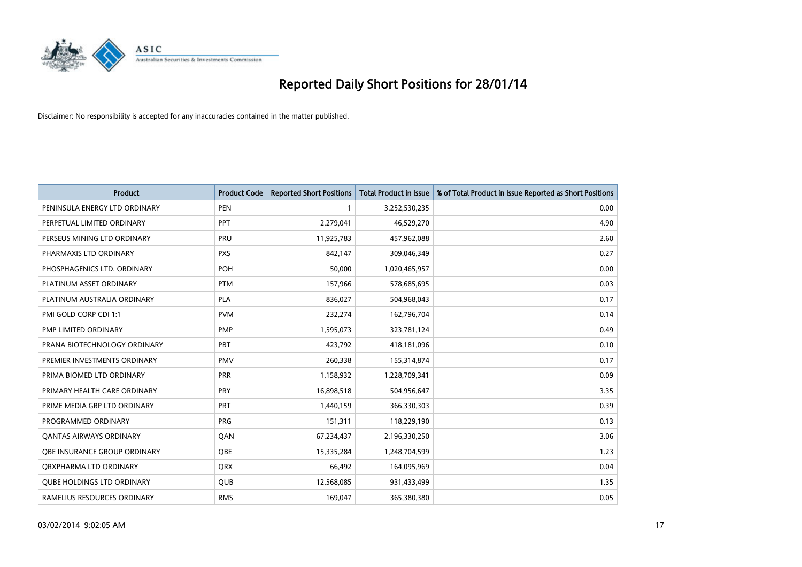

| <b>Product</b>                    | <b>Product Code</b> | <b>Reported Short Positions</b> | <b>Total Product in Issue</b> | % of Total Product in Issue Reported as Short Positions |
|-----------------------------------|---------------------|---------------------------------|-------------------------------|---------------------------------------------------------|
| PENINSULA ENERGY LTD ORDINARY     | <b>PEN</b>          |                                 | 3,252,530,235                 | 0.00                                                    |
| PERPETUAL LIMITED ORDINARY        | <b>PPT</b>          | 2,279,041                       | 46,529,270                    | 4.90                                                    |
| PERSEUS MINING LTD ORDINARY       | PRU                 | 11,925,783                      | 457,962,088                   | 2.60                                                    |
| PHARMAXIS LTD ORDINARY            | <b>PXS</b>          | 842,147                         | 309,046,349                   | 0.27                                                    |
| PHOSPHAGENICS LTD. ORDINARY       | <b>POH</b>          | 50,000                          | 1,020,465,957                 | 0.00                                                    |
| PLATINUM ASSET ORDINARY           | <b>PTM</b>          | 157,966                         | 578,685,695                   | 0.03                                                    |
| PLATINUM AUSTRALIA ORDINARY       | <b>PLA</b>          | 836,027                         | 504,968,043                   | 0.17                                                    |
| PMI GOLD CORP CDI 1:1             | <b>PVM</b>          | 232,274                         | 162,796,704                   | 0.14                                                    |
| <b>PMP LIMITED ORDINARY</b>       | <b>PMP</b>          | 1,595,073                       | 323,781,124                   | 0.49                                                    |
| PRANA BIOTECHNOLOGY ORDINARY      | PBT                 | 423,792                         | 418,181,096                   | 0.10                                                    |
| PREMIER INVESTMENTS ORDINARY      | <b>PMV</b>          | 260,338                         | 155,314,874                   | 0.17                                                    |
| PRIMA BIOMED LTD ORDINARY         | <b>PRR</b>          | 1,158,932                       | 1,228,709,341                 | 0.09                                                    |
| PRIMARY HEALTH CARE ORDINARY      | <b>PRY</b>          | 16,898,518                      | 504,956,647                   | 3.35                                                    |
| PRIME MEDIA GRP LTD ORDINARY      | <b>PRT</b>          | 1,440,159                       | 366,330,303                   | 0.39                                                    |
| PROGRAMMED ORDINARY               | <b>PRG</b>          | 151,311                         | 118,229,190                   | 0.13                                                    |
| <b>QANTAS AIRWAYS ORDINARY</b>    | QAN                 | 67,234,437                      | 2,196,330,250                 | 3.06                                                    |
| OBE INSURANCE GROUP ORDINARY      | QBE                 | 15,335,284                      | 1,248,704,599                 | 1.23                                                    |
| ORXPHARMA LTD ORDINARY            | <b>QRX</b>          | 66,492                          | 164,095,969                   | 0.04                                                    |
| <b>QUBE HOLDINGS LTD ORDINARY</b> | QUB                 | 12,568,085                      | 931,433,499                   | 1.35                                                    |
| RAMELIUS RESOURCES ORDINARY       | <b>RMS</b>          | 169,047                         | 365,380,380                   | 0.05                                                    |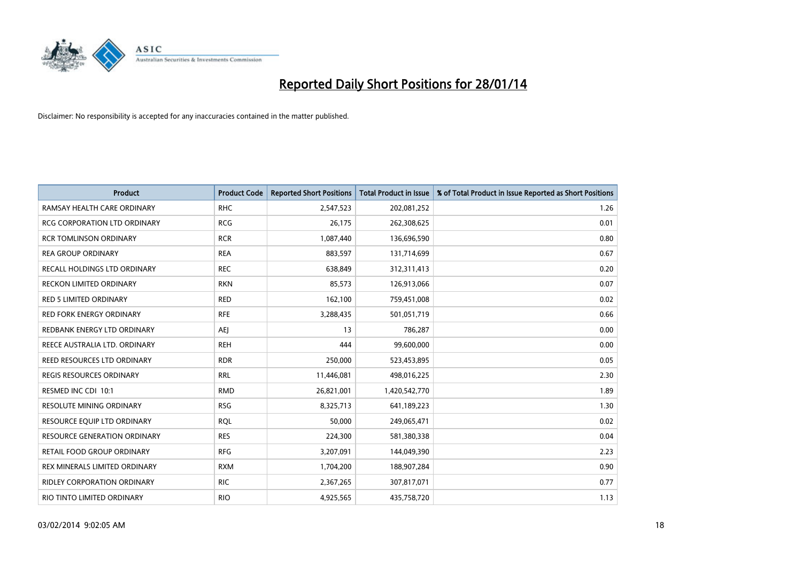

| <b>Product</b>                      | <b>Product Code</b> | <b>Reported Short Positions</b> | <b>Total Product in Issue</b> | % of Total Product in Issue Reported as Short Positions |
|-------------------------------------|---------------------|---------------------------------|-------------------------------|---------------------------------------------------------|
| RAMSAY HEALTH CARE ORDINARY         | <b>RHC</b>          | 2,547,523                       | 202,081,252                   | 1.26                                                    |
| RCG CORPORATION LTD ORDINARY        | <b>RCG</b>          | 26,175                          | 262,308,625                   | 0.01                                                    |
| <b>RCR TOMLINSON ORDINARY</b>       | <b>RCR</b>          | 1,087,440                       | 136,696,590                   | 0.80                                                    |
| <b>REA GROUP ORDINARY</b>           | <b>REA</b>          | 883,597                         | 131,714,699                   | 0.67                                                    |
| RECALL HOLDINGS LTD ORDINARY        | <b>REC</b>          | 638,849                         | 312,311,413                   | 0.20                                                    |
| <b>RECKON LIMITED ORDINARY</b>      | <b>RKN</b>          | 85,573                          | 126,913,066                   | 0.07                                                    |
| <b>RED 5 LIMITED ORDINARY</b>       | <b>RED</b>          | 162,100                         | 759,451,008                   | 0.02                                                    |
| RED FORK ENERGY ORDINARY            | <b>RFE</b>          | 3,288,435                       | 501,051,719                   | 0.66                                                    |
| REDBANK ENERGY LTD ORDINARY         | AEJ                 | 13                              | 786,287                       | 0.00                                                    |
| REECE AUSTRALIA LTD. ORDINARY       | <b>REH</b>          | 444                             | 99,600,000                    | 0.00                                                    |
| REED RESOURCES LTD ORDINARY         | <b>RDR</b>          | 250,000                         | 523,453,895                   | 0.05                                                    |
| <b>REGIS RESOURCES ORDINARY</b>     | <b>RRL</b>          | 11,446,081                      | 498,016,225                   | 2.30                                                    |
| RESMED INC CDI 10:1                 | <b>RMD</b>          | 26,821,001                      | 1,420,542,770                 | 1.89                                                    |
| <b>RESOLUTE MINING ORDINARY</b>     | <b>RSG</b>          | 8,325,713                       | 641,189,223                   | 1.30                                                    |
| RESOURCE EQUIP LTD ORDINARY         | <b>RQL</b>          | 50,000                          | 249,065,471                   | 0.02                                                    |
| <b>RESOURCE GENERATION ORDINARY</b> | <b>RES</b>          | 224,300                         | 581,380,338                   | 0.04                                                    |
| RETAIL FOOD GROUP ORDINARY          | <b>RFG</b>          | 3,207,091                       | 144,049,390                   | 2.23                                                    |
| REX MINERALS LIMITED ORDINARY       | <b>RXM</b>          | 1,704,200                       | 188,907,284                   | 0.90                                                    |
| <b>RIDLEY CORPORATION ORDINARY</b>  | <b>RIC</b>          | 2,367,265                       | 307,817,071                   | 0.77                                                    |
| RIO TINTO LIMITED ORDINARY          | <b>RIO</b>          | 4,925,565                       | 435,758,720                   | 1.13                                                    |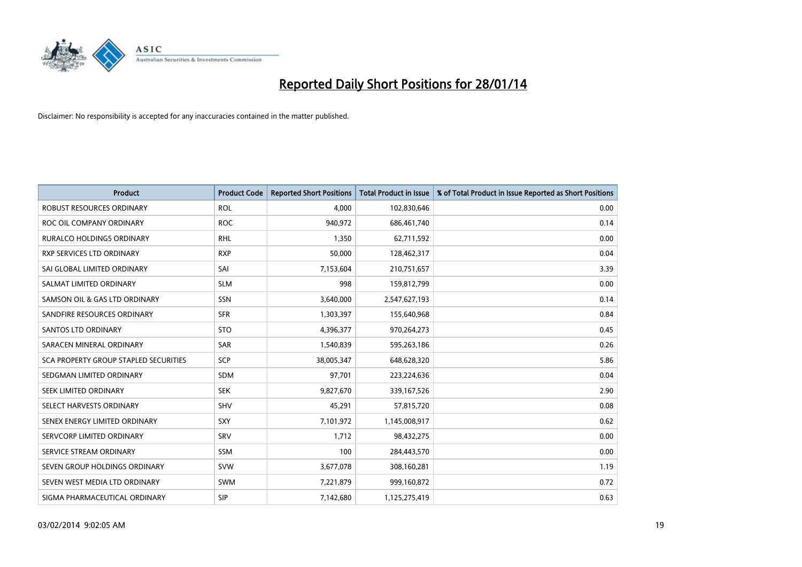

| <b>Product</b>                        | <b>Product Code</b> | <b>Reported Short Positions</b> | <b>Total Product in Issue</b> | % of Total Product in Issue Reported as Short Positions |
|---------------------------------------|---------------------|---------------------------------|-------------------------------|---------------------------------------------------------|
| <b>ROBUST RESOURCES ORDINARY</b>      | <b>ROL</b>          | 4,000                           | 102,830,646                   | 0.00                                                    |
| ROC OIL COMPANY ORDINARY              | <b>ROC</b>          | 940,972                         | 686,461,740                   | 0.14                                                    |
| <b>RURALCO HOLDINGS ORDINARY</b>      | <b>RHL</b>          | 1,350                           | 62,711,592                    | 0.00                                                    |
| <b>RXP SERVICES LTD ORDINARY</b>      | <b>RXP</b>          | 50,000                          | 128,462,317                   | 0.04                                                    |
| SAI GLOBAL LIMITED ORDINARY           | SAI                 | 7,153,604                       | 210,751,657                   | 3.39                                                    |
| SALMAT LIMITED ORDINARY               | <b>SLM</b>          | 998                             | 159,812,799                   | 0.00                                                    |
| SAMSON OIL & GAS LTD ORDINARY         | SSN                 | 3,640,000                       | 2,547,627,193                 | 0.14                                                    |
| SANDFIRE RESOURCES ORDINARY           | <b>SFR</b>          | 1,303,397                       | 155,640,968                   | 0.84                                                    |
| SANTOS LTD ORDINARY                   | <b>STO</b>          | 4,396,377                       | 970,264,273                   | 0.45                                                    |
| SARACEN MINERAL ORDINARY              | SAR                 | 1,540,839                       | 595,263,186                   | 0.26                                                    |
| SCA PROPERTY GROUP STAPLED SECURITIES | <b>SCP</b>          | 38,005,347                      | 648,628,320                   | 5.86                                                    |
| SEDGMAN LIMITED ORDINARY              | SDM                 | 97,701                          | 223,224,636                   | 0.04                                                    |
| SEEK LIMITED ORDINARY                 | <b>SEK</b>          | 9,827,670                       | 339,167,526                   | 2.90                                                    |
| SELECT HARVESTS ORDINARY              | SHV                 | 45,291                          | 57,815,720                    | 0.08                                                    |
| SENEX ENERGY LIMITED ORDINARY         | <b>SXY</b>          | 7,101,972                       | 1,145,008,917                 | 0.62                                                    |
| SERVCORP LIMITED ORDINARY             | SRV                 | 1,712                           | 98,432,275                    | 0.00                                                    |
| SERVICE STREAM ORDINARY               | SSM                 | 100                             | 284,443,570                   | 0.00                                                    |
| SEVEN GROUP HOLDINGS ORDINARY         | <b>SVW</b>          | 3,677,078                       | 308,160,281                   | 1.19                                                    |
| SEVEN WEST MEDIA LTD ORDINARY         | <b>SWM</b>          | 7,221,879                       | 999,160,872                   | 0.72                                                    |
| SIGMA PHARMACEUTICAL ORDINARY         | <b>SIP</b>          | 7,142,680                       | 1,125,275,419                 | 0.63                                                    |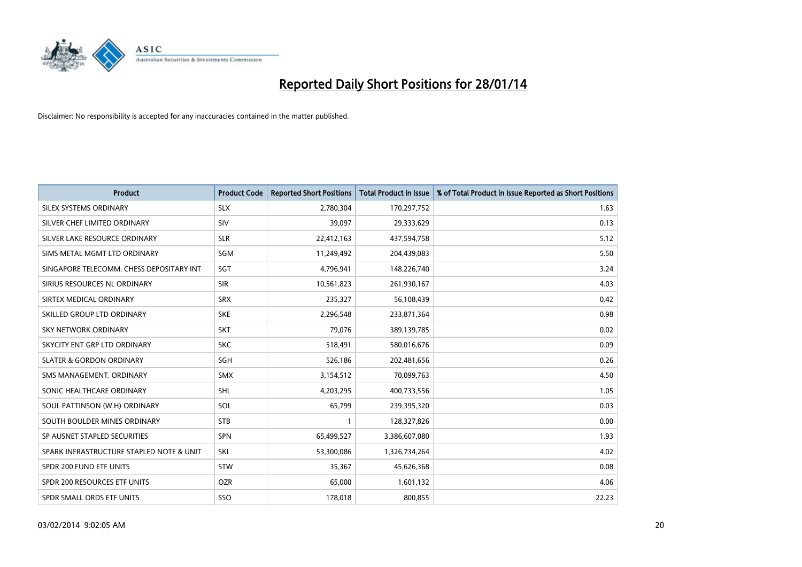

| <b>Product</b>                           | <b>Product Code</b> | <b>Reported Short Positions</b> | <b>Total Product in Issue</b> | % of Total Product in Issue Reported as Short Positions |
|------------------------------------------|---------------------|---------------------------------|-------------------------------|---------------------------------------------------------|
| SILEX SYSTEMS ORDINARY                   | <b>SLX</b>          | 2,780,304                       | 170,297,752                   | 1.63                                                    |
| SILVER CHEF LIMITED ORDINARY             | <b>SIV</b>          | 39,097                          | 29,333,629                    | 0.13                                                    |
| SILVER LAKE RESOURCE ORDINARY            | <b>SLR</b>          | 22,412,163                      | 437,594,758                   | 5.12                                                    |
| SIMS METAL MGMT LTD ORDINARY             | <b>SGM</b>          | 11,249,492                      | 204,439,083                   | 5.50                                                    |
| SINGAPORE TELECOMM. CHESS DEPOSITARY INT | SGT                 | 4,796,941                       | 148,226,740                   | 3.24                                                    |
| SIRIUS RESOURCES NL ORDINARY             | <b>SIR</b>          | 10,561,823                      | 261,930,167                   | 4.03                                                    |
| SIRTEX MEDICAL ORDINARY                  | <b>SRX</b>          | 235,327                         | 56,108,439                    | 0.42                                                    |
| SKILLED GROUP LTD ORDINARY               | <b>SKE</b>          | 2,296,548                       | 233,871,364                   | 0.98                                                    |
| <b>SKY NETWORK ORDINARY</b>              | <b>SKT</b>          | 79,076                          | 389,139,785                   | 0.02                                                    |
| SKYCITY ENT GRP LTD ORDINARY             | <b>SKC</b>          | 518,491                         | 580,016,676                   | 0.09                                                    |
| <b>SLATER &amp; GORDON ORDINARY</b>      | SGH                 | 526,186                         | 202,481,656                   | 0.26                                                    |
| SMS MANAGEMENT, ORDINARY                 | <b>SMX</b>          | 3,154,512                       | 70,099,763                    | 4.50                                                    |
| SONIC HEALTHCARE ORDINARY                | SHL                 | 4,203,295                       | 400,733,556                   | 1.05                                                    |
| SOUL PATTINSON (W.H) ORDINARY            | SOL                 | 65,799                          | 239,395,320                   | 0.03                                                    |
| SOUTH BOULDER MINES ORDINARY             | <b>STB</b>          | $\mathbf{1}$                    | 128,327,826                   | 0.00                                                    |
| SP AUSNET STAPLED SECURITIES             | <b>SPN</b>          | 65,499,527                      | 3,386,607,080                 | 1.93                                                    |
| SPARK INFRASTRUCTURE STAPLED NOTE & UNIT | SKI                 | 53,300,086                      | 1,326,734,264                 | 4.02                                                    |
| SPDR 200 FUND ETF UNITS                  | <b>STW</b>          | 35,367                          | 45,626,368                    | 0.08                                                    |
| SPDR 200 RESOURCES ETF UNITS             | <b>OZR</b>          | 65,000                          | 1,601,132                     | 4.06                                                    |
| SPDR SMALL ORDS ETF UNITS                | SSO                 | 178,018                         | 800,855                       | 22.23                                                   |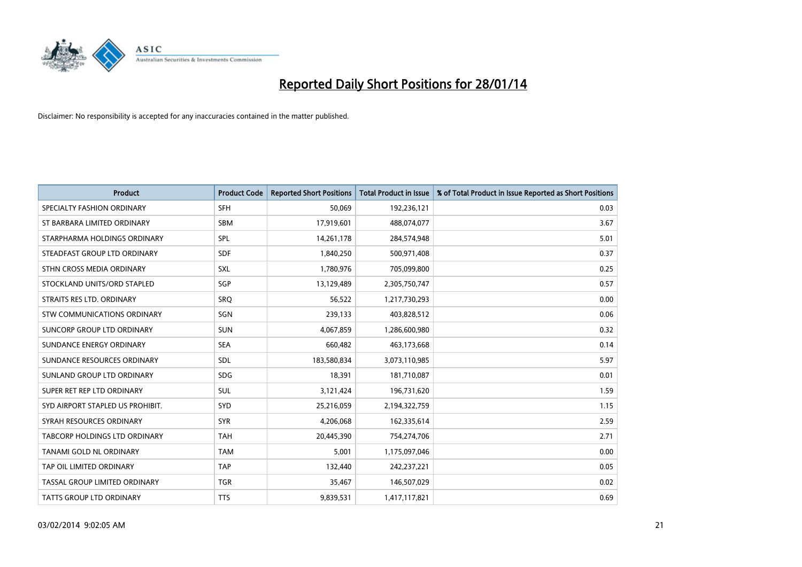

| <b>Product</b>                   | <b>Product Code</b> | <b>Reported Short Positions</b> | <b>Total Product in Issue</b> | % of Total Product in Issue Reported as Short Positions |
|----------------------------------|---------------------|---------------------------------|-------------------------------|---------------------------------------------------------|
| SPECIALTY FASHION ORDINARY       | <b>SFH</b>          | 50,069                          | 192,236,121                   | 0.03                                                    |
| ST BARBARA LIMITED ORDINARY      | SBM                 | 17,919,601                      | 488,074,077                   | 3.67                                                    |
| STARPHARMA HOLDINGS ORDINARY     | <b>SPL</b>          | 14,261,178                      | 284,574,948                   | 5.01                                                    |
| STEADFAST GROUP LTD ORDINARY     | <b>SDF</b>          | 1,840,250                       | 500,971,408                   | 0.37                                                    |
| STHN CROSS MEDIA ORDINARY        | SXL                 | 1,780,976                       | 705,099,800                   | 0.25                                                    |
| STOCKLAND UNITS/ORD STAPLED      | SGP                 | 13,129,489                      | 2,305,750,747                 | 0.57                                                    |
| STRAITS RES LTD. ORDINARY        | <b>SRQ</b>          | 56,522                          | 1,217,730,293                 | 0.00                                                    |
| STW COMMUNICATIONS ORDINARY      | SGN                 | 239,133                         | 403,828,512                   | 0.06                                                    |
| SUNCORP GROUP LTD ORDINARY       | <b>SUN</b>          | 4,067,859                       | 1,286,600,980                 | 0.32                                                    |
| SUNDANCE ENERGY ORDINARY         | <b>SEA</b>          | 660,482                         | 463,173,668                   | 0.14                                                    |
| SUNDANCE RESOURCES ORDINARY      | <b>SDL</b>          | 183,580,834                     | 3,073,110,985                 | 5.97                                                    |
| SUNLAND GROUP LTD ORDINARY       | <b>SDG</b>          | 18,391                          | 181,710,087                   | 0.01                                                    |
| SUPER RET REP LTD ORDINARY       | SUL                 | 3,121,424                       | 196,731,620                   | 1.59                                                    |
| SYD AIRPORT STAPLED US PROHIBIT. | <b>SYD</b>          | 25,216,059                      | 2,194,322,759                 | 1.15                                                    |
| SYRAH RESOURCES ORDINARY         | <b>SYR</b>          | 4,206,068                       | 162,335,614                   | 2.59                                                    |
| TABCORP HOLDINGS LTD ORDINARY    | <b>TAH</b>          | 20,445,390                      | 754,274,706                   | 2.71                                                    |
| TANAMI GOLD NL ORDINARY          | <b>TAM</b>          | 5,001                           | 1,175,097,046                 | 0.00                                                    |
| TAP OIL LIMITED ORDINARY         | <b>TAP</b>          | 132,440                         | 242,237,221                   | 0.05                                                    |
| TASSAL GROUP LIMITED ORDINARY    | <b>TGR</b>          | 35,467                          | 146,507,029                   | 0.02                                                    |
| TATTS GROUP LTD ORDINARY         | <b>TTS</b>          | 9,839,531                       | 1,417,117,821                 | 0.69                                                    |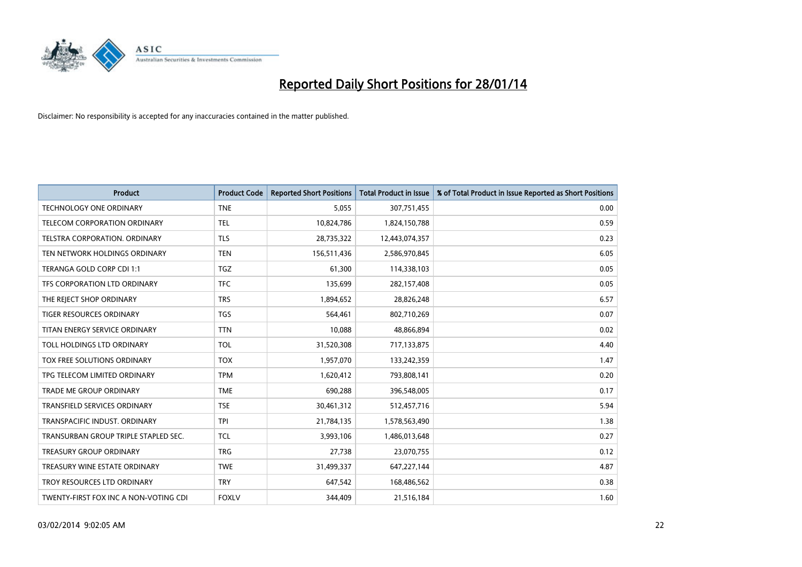

| Product                               | <b>Product Code</b> | <b>Reported Short Positions</b> | <b>Total Product in Issue</b> | % of Total Product in Issue Reported as Short Positions |
|---------------------------------------|---------------------|---------------------------------|-------------------------------|---------------------------------------------------------|
| <b>TECHNOLOGY ONE ORDINARY</b>        | <b>TNE</b>          | 5,055                           | 307,751,455                   | 0.00                                                    |
| TELECOM CORPORATION ORDINARY          | <b>TEL</b>          | 10,824,786                      | 1,824,150,788                 | 0.59                                                    |
| TELSTRA CORPORATION, ORDINARY         | <b>TLS</b>          | 28,735,322                      | 12,443,074,357                | 0.23                                                    |
| TEN NETWORK HOLDINGS ORDINARY         | <b>TEN</b>          | 156,511,436                     | 2,586,970,845                 | 6.05                                                    |
| TERANGA GOLD CORP CDI 1:1             | <b>TGZ</b>          | 61,300                          | 114,338,103                   | 0.05                                                    |
| TFS CORPORATION LTD ORDINARY          | <b>TFC</b>          | 135,699                         | 282,157,408                   | 0.05                                                    |
| THE REJECT SHOP ORDINARY              | <b>TRS</b>          | 1,894,652                       | 28,826,248                    | 6.57                                                    |
| TIGER RESOURCES ORDINARY              | <b>TGS</b>          | 564,461                         | 802,710,269                   | 0.07                                                    |
| TITAN ENERGY SERVICE ORDINARY         | <b>TTN</b>          | 10,088                          | 48,866,894                    | 0.02                                                    |
| TOLL HOLDINGS LTD ORDINARY            | <b>TOL</b>          | 31,520,308                      | 717,133,875                   | 4.40                                                    |
| TOX FREE SOLUTIONS ORDINARY           | <b>TOX</b>          | 1,957,070                       | 133,242,359                   | 1.47                                                    |
| TPG TELECOM LIMITED ORDINARY          | <b>TPM</b>          | 1,620,412                       | 793,808,141                   | 0.20                                                    |
| TRADE ME GROUP ORDINARY               | <b>TME</b>          | 690,288                         | 396,548,005                   | 0.17                                                    |
| <b>TRANSFIELD SERVICES ORDINARY</b>   | <b>TSE</b>          | 30,461,312                      | 512,457,716                   | 5.94                                                    |
| TRANSPACIFIC INDUST, ORDINARY         | <b>TPI</b>          | 21,784,135                      | 1,578,563,490                 | 1.38                                                    |
| TRANSURBAN GROUP TRIPLE STAPLED SEC.  | <b>TCL</b>          | 3,993,106                       | 1,486,013,648                 | 0.27                                                    |
| <b>TREASURY GROUP ORDINARY</b>        | <b>TRG</b>          | 27,738                          | 23,070,755                    | 0.12                                                    |
| TREASURY WINE ESTATE ORDINARY         | <b>TWE</b>          | 31,499,337                      | 647,227,144                   | 4.87                                                    |
| TROY RESOURCES LTD ORDINARY           | <b>TRY</b>          | 647,542                         | 168,486,562                   | 0.38                                                    |
| TWENTY-FIRST FOX INC A NON-VOTING CDI | <b>FOXLV</b>        | 344,409                         | 21,516,184                    | 1.60                                                    |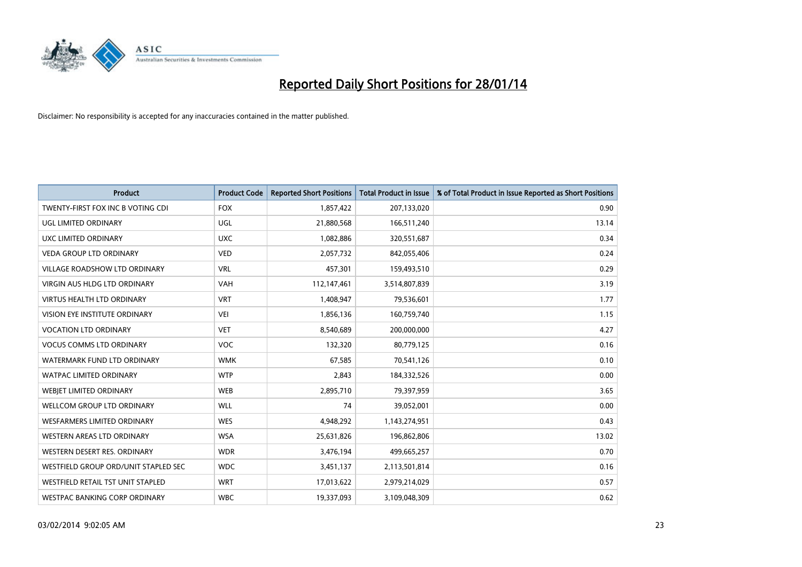

| <b>Product</b>                       | <b>Product Code</b> | <b>Reported Short Positions</b> | <b>Total Product in Issue</b> | % of Total Product in Issue Reported as Short Positions |
|--------------------------------------|---------------------|---------------------------------|-------------------------------|---------------------------------------------------------|
| TWENTY-FIRST FOX INC B VOTING CDI    | <b>FOX</b>          | 1,857,422                       | 207,133,020                   | 0.90                                                    |
| UGL LIMITED ORDINARY                 | UGL                 | 21,880,568                      | 166,511,240                   | 13.14                                                   |
| UXC LIMITED ORDINARY                 | <b>UXC</b>          | 1,082,886                       | 320,551,687                   | 0.34                                                    |
| <b>VEDA GROUP LTD ORDINARY</b>       | <b>VED</b>          | 2,057,732                       | 842,055,406                   | 0.24                                                    |
| <b>VILLAGE ROADSHOW LTD ORDINARY</b> | <b>VRL</b>          | 457,301                         | 159,493,510                   | 0.29                                                    |
| <b>VIRGIN AUS HLDG LTD ORDINARY</b>  | <b>VAH</b>          | 112,147,461                     | 3,514,807,839                 | 3.19                                                    |
| <b>VIRTUS HEALTH LTD ORDINARY</b>    | <b>VRT</b>          | 1,408,947                       | 79,536,601                    | 1.77                                                    |
| VISION EYE INSTITUTE ORDINARY        | <b>VEI</b>          | 1,856,136                       | 160,759,740                   | 1.15                                                    |
| <b>VOCATION LTD ORDINARY</b>         | <b>VET</b>          | 8,540,689                       | 200,000,000                   | 4.27                                                    |
| <b>VOCUS COMMS LTD ORDINARY</b>      | <b>VOC</b>          | 132,320                         | 80,779,125                    | 0.16                                                    |
| WATERMARK FUND LTD ORDINARY          | <b>WMK</b>          | 67,585                          | 70,541,126                    | 0.10                                                    |
| <b>WATPAC LIMITED ORDINARY</b>       | <b>WTP</b>          | 2,843                           | 184,332,526                   | 0.00                                                    |
| WEBIET LIMITED ORDINARY              | <b>WEB</b>          | 2,895,710                       | 79,397,959                    | 3.65                                                    |
| WELLCOM GROUP LTD ORDINARY           | <b>WLL</b>          | 74                              | 39,052,001                    | 0.00                                                    |
| <b>WESFARMERS LIMITED ORDINARY</b>   | <b>WES</b>          | 4,948,292                       | 1,143,274,951                 | 0.43                                                    |
| WESTERN AREAS LTD ORDINARY           | <b>WSA</b>          | 25,631,826                      | 196,862,806                   | 13.02                                                   |
| WESTERN DESERT RES. ORDINARY         | <b>WDR</b>          | 3,476,194                       | 499,665,257                   | 0.70                                                    |
| WESTFIELD GROUP ORD/UNIT STAPLED SEC | <b>WDC</b>          | 3,451,137                       | 2,113,501,814                 | 0.16                                                    |
| WESTFIELD RETAIL TST UNIT STAPLED    | <b>WRT</b>          | 17,013,622                      | 2,979,214,029                 | 0.57                                                    |
| WESTPAC BANKING CORP ORDINARY        | <b>WBC</b>          | 19,337,093                      | 3,109,048,309                 | 0.62                                                    |